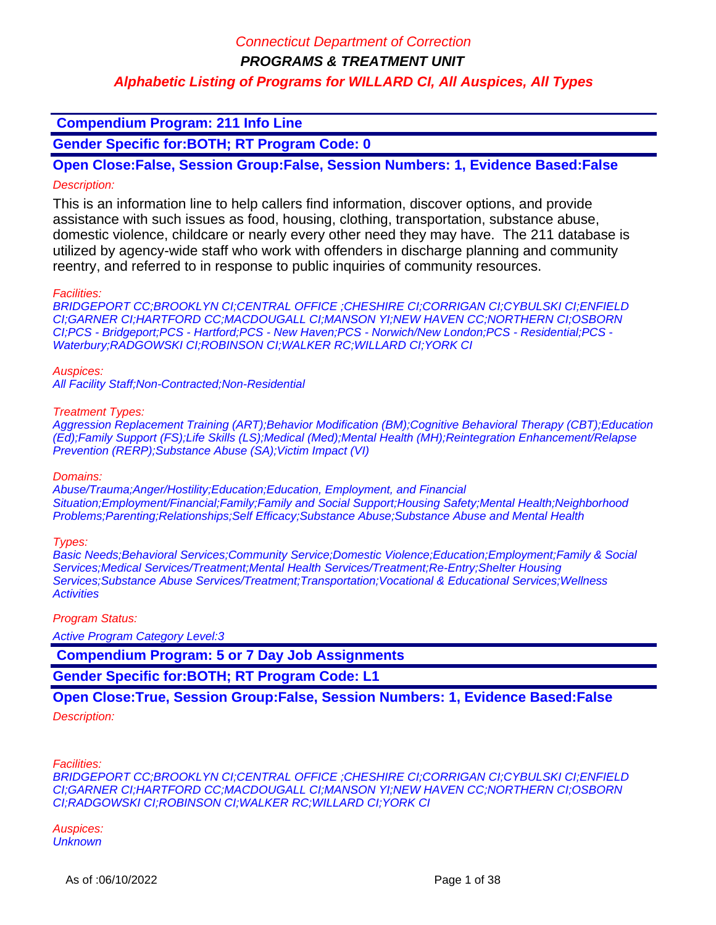**PROGRAMS & TREATMENT UNIT**

### **Alphabetic Listing of Programs for WILLARD CI, All Auspices, All Types**

### **Compendium Program: 211 Info Line**

**Gender Specific for:BOTH; RT Program Code: 0**

### **Open Close:False, Session Group:False, Session Numbers: 1, Evidence Based:False** Description:

This is an information line to help callers find information, discover options, and provide assistance with such issues as food, housing, clothing, transportation, substance abuse, domestic violence, childcare or nearly every other need they may have. The 211 database is utilized by agency-wide staff who work with offenders in discharge planning and community reentry, and referred to in response to public inquiries of community resources.

#### Facilities:

BRIDGEPORT CC;BROOKLYN CI;CENTRAL OFFICE ;CHESHIRE CI;CORRIGAN CI;CYBULSKI CI;ENFIELD CI;GARNER CI;HARTFORD CC;MACDOUGALL CI;MANSON YI;NEW HAVEN CC;NORTHERN CI;OSBORN CI;PCS - Bridgeport;PCS - Hartford;PCS - New Haven;PCS - Norwich/New London;PCS - Residential;PCS - Waterbury;RADGOWSKI CI;ROBINSON CI;WALKER RC;WILLARD CI;YORK CI

#### Auspices:

All Facility Staff;Non-Contracted;Non-Residential

#### Treatment Types:

Aggression Replacement Training (ART);Behavior Modification (BM);Cognitive Behavioral Therapy (CBT);Education (Ed);Family Support (FS);Life Skills (LS);Medical (Med);Mental Health (MH);Reintegration Enhancement/Relapse Prevention (RERP);Substance Abuse (SA);Victim Impact (VI)

#### Domains:

Abuse/Trauma;Anger/Hostility;Education;Education, Employment, and Financial Situation;Employment/Financial;Family;Family and Social Support;Housing Safety;Mental Health;Neighborhood Problems;Parenting;Relationships;Self Efficacy;Substance Abuse;Substance Abuse and Mental Health

#### Types:

Basic Needs;Behavioral Services;Community Service;Domestic Violence;Education;Employment;Family & Social Services;Medical Services/Treatment;Mental Health Services/Treatment;Re-Entry;Shelter Housing Services; Substance Abuse Services/Treatment; Transportation; Vocational & Educational Services; Wellness **Activities** 

#### Program Status:

Active Program Category Level:3

 **Compendium Program: 5 or 7 Day Job Assignments**

**Gender Specific for:BOTH; RT Program Code: L1**

### **Open Close:True, Session Group:False, Session Numbers: 1, Evidence Based:False**

#### Description:

Facilities:

BRIDGEPORT CC;BROOKLYN CI;CENTRAL OFFICE ;CHESHIRE CI;CORRIGAN CI;CYBULSKI CI;ENFIELD CI;GARNER CI;HARTFORD CC;MACDOUGALL CI;MANSON YI;NEW HAVEN CC;NORTHERN CI;OSBORN CI;RADGOWSKI CI;ROBINSON CI;WALKER RC;WILLARD CI;YORK CI

Auspices: **Unknown**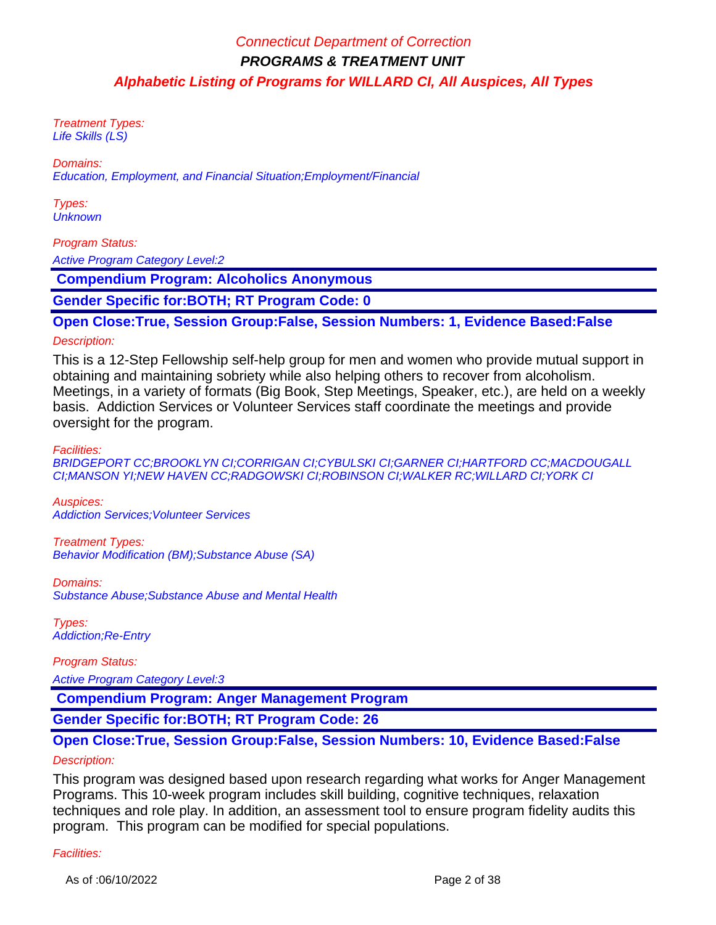Treatment Types: Life Skills (LS)

Domains:

Education, Employment, and Financial Situation;Employment/Financial

Types: **Unknown** 

#### Program Status:

Active Program Category Level:2

 **Compendium Program: Alcoholics Anonymous**

**Gender Specific for:BOTH; RT Program Code: 0**

#### **Open Close:True, Session Group:False, Session Numbers: 1, Evidence Based:False**

#### Description:

This is a 12-Step Fellowship self-help group for men and women who provide mutual support in obtaining and maintaining sobriety while also helping others to recover from alcoholism. Meetings, in a variety of formats (Big Book, Step Meetings, Speaker, etc.), are held on a weekly basis. Addiction Services or Volunteer Services staff coordinate the meetings and provide oversight for the program.

Facilities:

BRIDGEPORT CC;BROOKLYN CI;CORRIGAN CI;CYBULSKI CI;GARNER CI;HARTFORD CC;MACDOUGALL CI;MANSON YI;NEW HAVEN CC;RADGOWSKI CI;ROBINSON CI;WALKER RC;WILLARD CI;YORK CI

Auspices: Addiction Services;Volunteer Services

Treatment Types: Behavior Modification (BM);Substance Abuse (SA)

Domains: Substance Abuse;Substance Abuse and Mental Health

Types: Addiction;Re-Entry

Program Status: Active Program Category Level:3

 **Compendium Program: Anger Management Program**

**Gender Specific for:BOTH; RT Program Code: 26**

#### **Open Close:True, Session Group:False, Session Numbers: 10, Evidence Based:False**

#### Description:

This program was designed based upon research regarding what works for Anger Management Programs. This 10-week program includes skill building, cognitive techniques, relaxation techniques and role play. In addition, an assessment tool to ensure program fidelity audits this program. This program can be modified for special populations.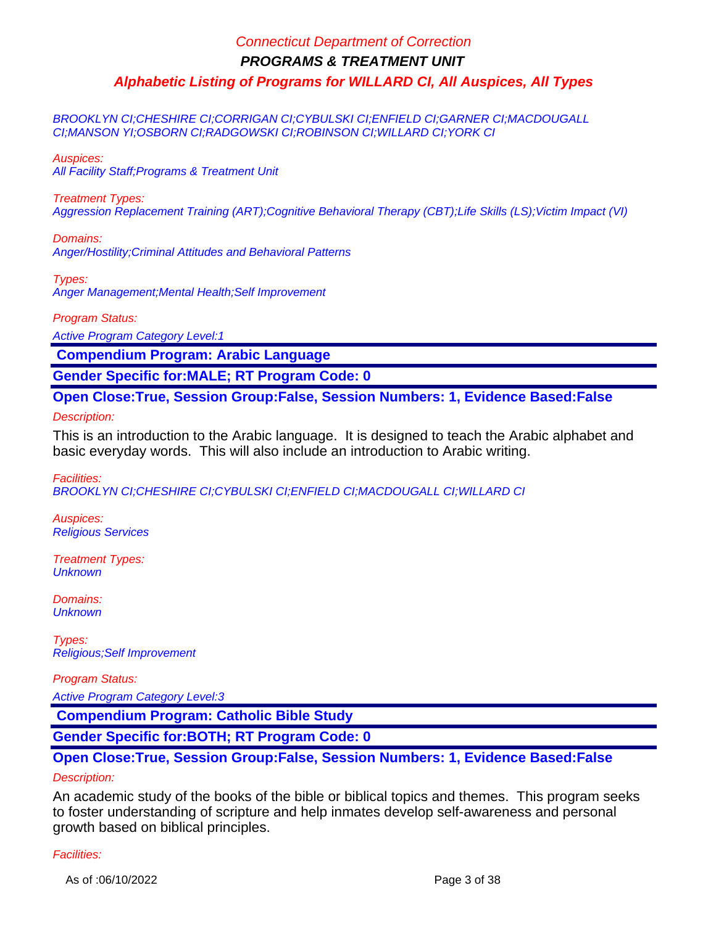BROOKLYN CI;CHESHIRE CI;CORRIGAN CI;CYBULSKI CI;ENFIELD CI;GARNER CI;MACDOUGALL CI;MANSON YI;OSBORN CI;RADGOWSKI CI;ROBINSON CI;WILLARD CI;YORK CI

Auspices:

All Facility Staff;Programs & Treatment Unit

Treatment Types:

Aggression Replacement Training (ART);Cognitive Behavioral Therapy (CBT);Life Skills (LS);Victim Impact (VI)

Domains: Anger/Hostility;Criminal Attitudes and Behavioral Patterns

Types: Anger Management;Mental Health;Self Improvement

Program Status:

Active Program Category Level:1

 **Compendium Program: Arabic Language**

**Gender Specific for:MALE; RT Program Code: 0**

**Open Close:True, Session Group:False, Session Numbers: 1, Evidence Based:False**

Description:

This is an introduction to the Arabic language. It is designed to teach the Arabic alphabet and basic everyday words. This will also include an introduction to Arabic writing.

Facilities:

BROOKLYN CI;CHESHIRE CI;CYBULSKI CI;ENFIELD CI;MACDOUGALL CI;WILLARD CI

Auspices: Religious Services

Treatment Types: **Unknown** 

Domains: **Unknown** 

Types: Religious;Self Improvement

Program Status:

Active Program Category Level:3

 **Compendium Program: Catholic Bible Study**

**Gender Specific for:BOTH; RT Program Code: 0**

### **Open Close:True, Session Group:False, Session Numbers: 1, Evidence Based:False** Description:

An academic study of the books of the bible or biblical topics and themes. This program seeks to foster understanding of scripture and help inmates develop self-awareness and personal growth based on biblical principles.

#### Facilities:

As of :06/10/2022 Page 3 of 38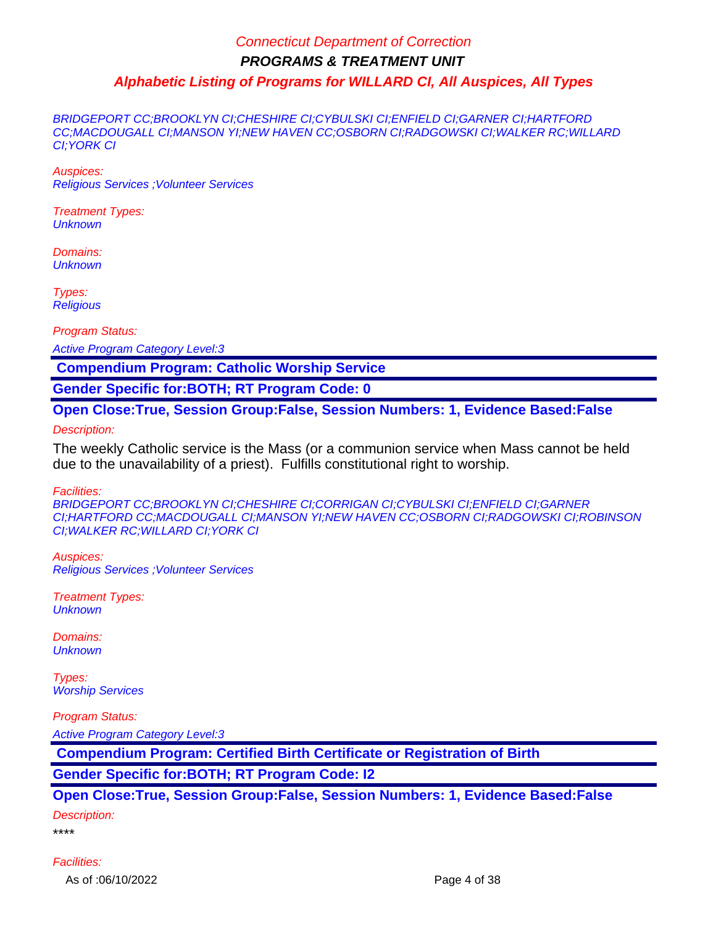BRIDGEPORT CC;BROOKLYN CI;CHESHIRE CI;CYBULSKI CI;ENFIELD CI;GARNER CI;HARTFORD CC;MACDOUGALL CI;MANSON YI;NEW HAVEN CC;OSBORN CI;RADGOWSKI CI;WALKER RC;WILLARD CI;YORK CI

Auspices: Religious Services ;Volunteer Services

Treatment Types: **Unknown** 

Domains: **Unknown** 

Types: **Religious** 

Program Status:

Active Program Category Level:3

 **Compendium Program: Catholic Worship Service**

**Gender Specific for:BOTH; RT Program Code: 0**

**Open Close:True, Session Group:False, Session Numbers: 1, Evidence Based:False**

Description:

The weekly Catholic service is the Mass (or a communion service when Mass cannot be held due to the unavailability of a priest). Fulfills constitutional right to worship.

Facilities:

BRIDGEPORT CC;BROOKLYN CI;CHESHIRE CI;CORRIGAN CI;CYBULSKI CI;ENFIELD CI;GARNER CI;HARTFORD CC;MACDOUGALL CI;MANSON YI;NEW HAVEN CC;OSBORN CI;RADGOWSKI CI;ROBINSON CI;WALKER RC;WILLARD CI;YORK CI

Auspices: Religious Services ;Volunteer Services

Treatment Types: **Unknown** 

Domains: **Unknown** 

Types: Worship Services

Program Status:

Active Program Category Level:3

 **Compendium Program: Certified Birth Certificate or Registration of Birth**

**Gender Specific for:BOTH; RT Program Code: I2**

**Open Close:True, Session Group:False, Session Numbers: 1, Evidence Based:False**

Description:

\*\*\*\*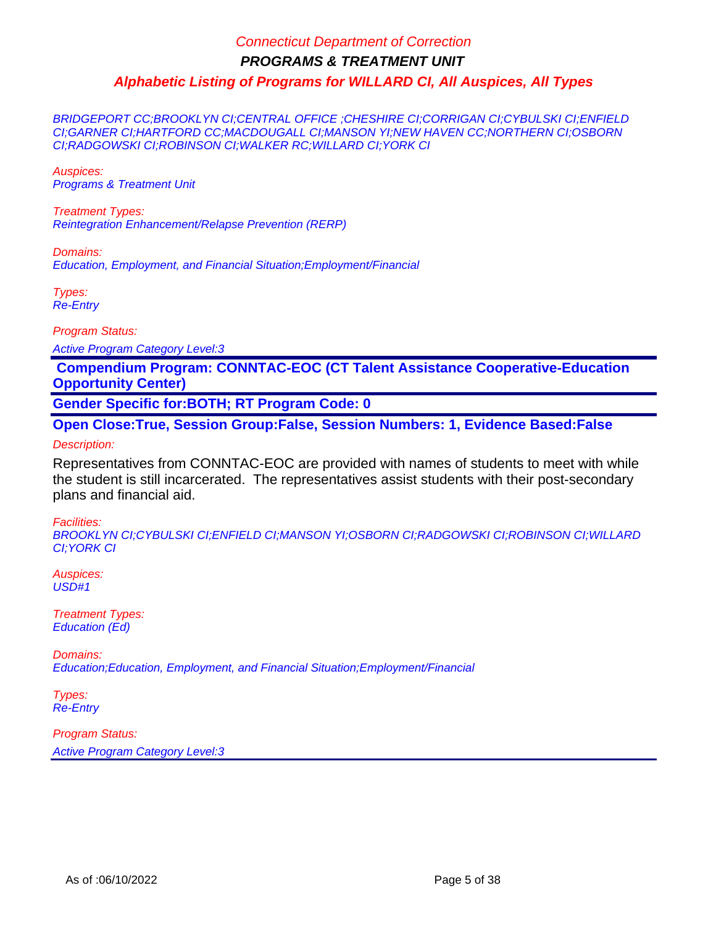BRIDGEPORT CC;BROOKLYN CI;CENTRAL OFFICE ;CHESHIRE CI;CORRIGAN CI;CYBULSKI CI;ENFIELD CI;GARNER CI;HARTFORD CC;MACDOUGALL CI;MANSON YI;NEW HAVEN CC;NORTHERN CI;OSBORN CI;RADGOWSKI CI;ROBINSON CI;WALKER RC;WILLARD CI;YORK CI

Auspices: Programs & Treatment Unit

Treatment Types: Reintegration Enhancement/Relapse Prevention (RERP)

Domains: Education, Employment, and Financial Situation;Employment/Financial

Types: Re-Entry

Program Status:

Active Program Category Level:3

 **Compendium Program: CONNTAC-EOC (CT Talent Assistance Cooperative-Education Opportunity Center)**

**Gender Specific for:BOTH; RT Program Code: 0**

**Open Close:True, Session Group:False, Session Numbers: 1, Evidence Based:False**

Description:

Representatives from CONNTAC-EOC are provided with names of students to meet with while the student is still incarcerated. The representatives assist students with their post-secondary plans and financial aid.

Facilities:

BROOKLYN CI;CYBULSKI CI;ENFIELD CI;MANSON YI;OSBORN CI;RADGOWSKI CI;ROBINSON CI;WILLARD CI;YORK CI

Auspices: USD#1

Treatment Types: Education (Ed)

Domains: Education;Education, Employment, and Financial Situation;Employment/Financial

Types: Re-Entry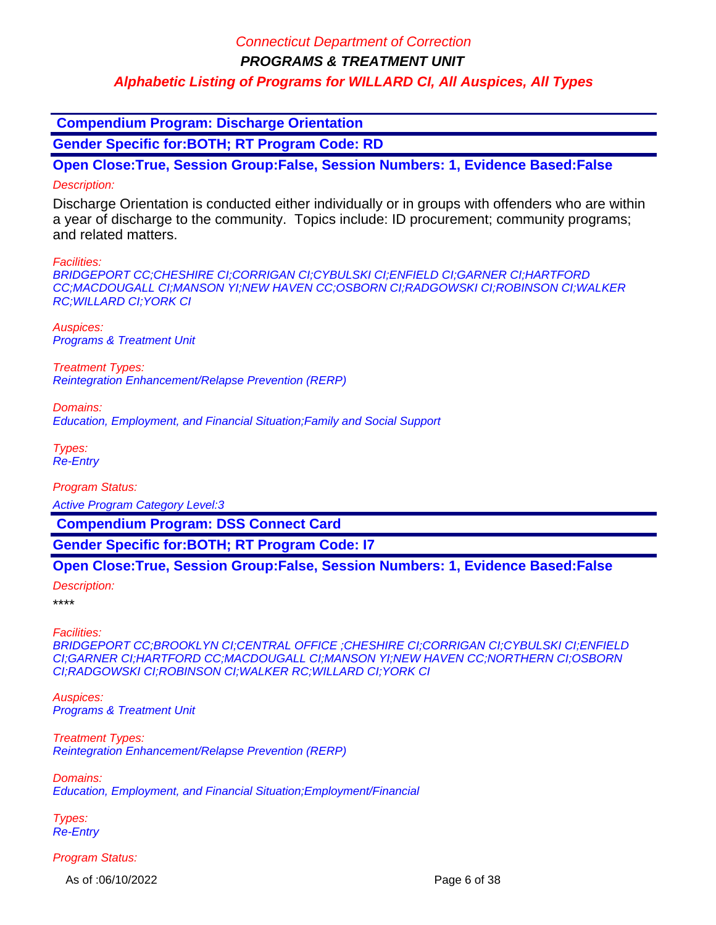**PROGRAMS & TREATMENT UNIT**

### **Alphabetic Listing of Programs for WILLARD CI, All Auspices, All Types**

 **Compendium Program: Discharge Orientation**

**Gender Specific for:BOTH; RT Program Code: RD**

**Open Close:True, Session Group:False, Session Numbers: 1, Evidence Based:False** Description:

Discharge Orientation is conducted either individually or in groups with offenders who are within a year of discharge to the community. Topics include: ID procurement; community programs; and related matters.

#### Facilities:

BRIDGEPORT CC;CHESHIRE CI;CORRIGAN CI;CYBULSKI CI;ENFIELD CI;GARNER CI;HARTFORD CC;MACDOUGALL CI;MANSON YI;NEW HAVEN CC;OSBORN CI;RADGOWSKI CI;ROBINSON CI;WALKER RC;WILLARD CI;YORK CI

Auspices: Programs & Treatment Unit

Treatment Types: Reintegration Enhancement/Relapse Prevention (RERP)

Domains:

Education, Employment, and Financial Situation;Family and Social Support

Types: Re-Entry

Program Status:

Active Program Category Level:3

 **Compendium Program: DSS Connect Card**

**Gender Specific for:BOTH; RT Program Code: I7**

#### **Open Close:True, Session Group:False, Session Numbers: 1, Evidence Based:False**

Description:

\*\*\*\*

Facilities:

BRIDGEPORT CC;BROOKLYN CI;CENTRAL OFFICE ;CHESHIRE CI;CORRIGAN CI;CYBULSKI CI;ENFIELD CI;GARNER CI;HARTFORD CC;MACDOUGALL CI;MANSON YI;NEW HAVEN CC;NORTHERN CI;OSBORN CI;RADGOWSKI CI;ROBINSON CI;WALKER RC;WILLARD CI;YORK CI

Auspices: Programs & Treatment Unit

Treatment Types: Reintegration Enhancement/Relapse Prevention (RERP)

Domains: Education, Employment, and Financial Situation;Employment/Financial

Types: Re-Entry

Program Status:

As of :06/10/2022 Page 6 of 38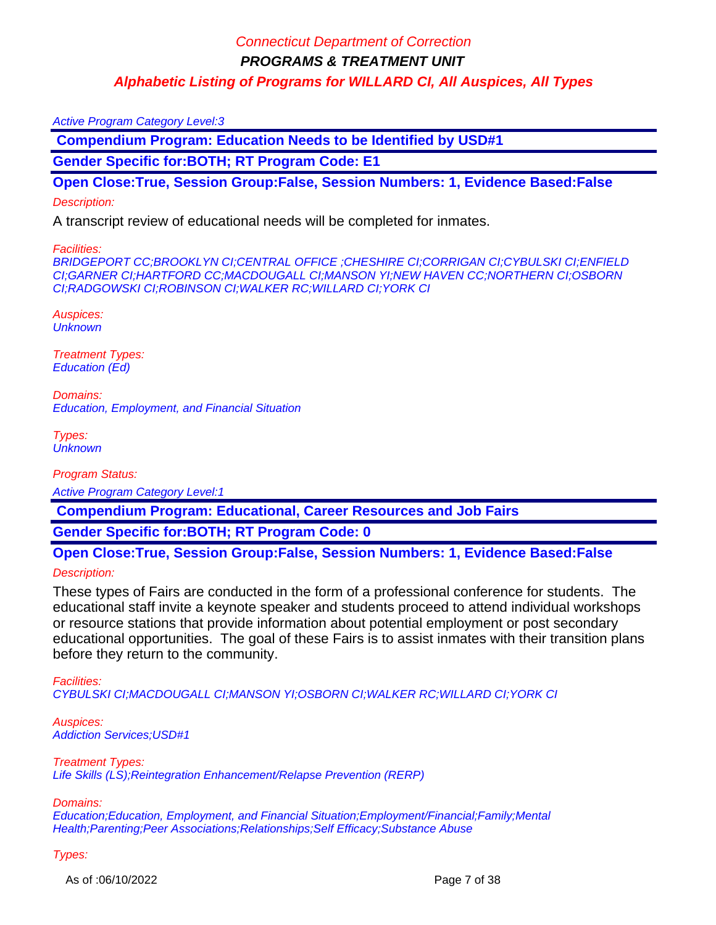#### Active Program Category Level:3

 **Compendium Program: Education Needs to be Identified by USD#1**

**Gender Specific for:BOTH; RT Program Code: E1**

**Open Close:True, Session Group:False, Session Numbers: 1, Evidence Based:False**

#### Description:

A transcript review of educational needs will be completed for inmates.

#### Facilities:

BRIDGEPORT CC;BROOKLYN CI;CENTRAL OFFICE ;CHESHIRE CI;CORRIGAN CI;CYBULSKI CI;ENFIELD CI;GARNER CI;HARTFORD CC;MACDOUGALL CI;MANSON YI;NEW HAVEN CC;NORTHERN CI;OSBORN CI;RADGOWSKI CI;ROBINSON CI;WALKER RC;WILLARD CI;YORK CI

Auspices: **Unknown** 

Treatment Types: Education (Ed)

Domains: Education, Employment, and Financial Situation

Types: **Unknown** 

Program Status:

Active Program Category Level:1

 **Compendium Program: Educational, Career Resources and Job Fairs**

**Gender Specific for:BOTH; RT Program Code: 0**

**Open Close:True, Session Group:False, Session Numbers: 1, Evidence Based:False** Description:

These types of Fairs are conducted in the form of a professional conference for students. The educational staff invite a keynote speaker and students proceed to attend individual workshops or resource stations that provide information about potential employment or post secondary educational opportunities. The goal of these Fairs is to assist inmates with their transition plans before they return to the community.

Facilities:

CYBULSKI CI;MACDOUGALL CI;MANSON YI;OSBORN CI;WALKER RC;WILLARD CI;YORK CI

Auspices: Addiction Services;USD#1

Treatment Types: Life Skills (LS); Reintegration Enhancement/Relapse Prevention (RERP)

Domains:

Education;Education, Employment, and Financial Situation;Employment/Financial;Family;Mental Health;Parenting;Peer Associations;Relationships;Self Efficacy;Substance Abuse

Types:

As of :06/10/2022 Page 7 of 38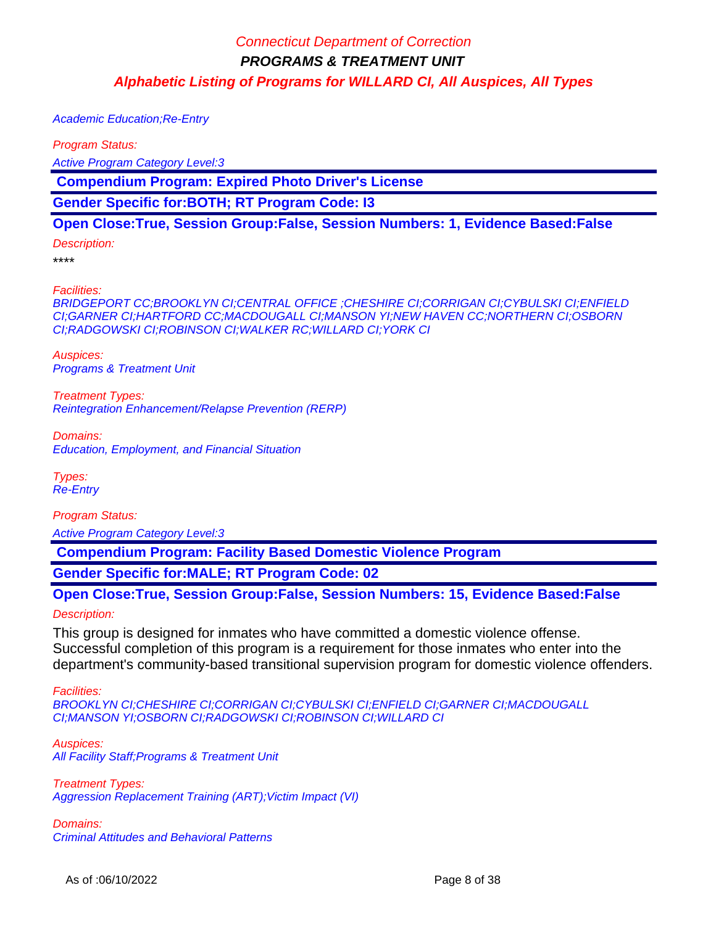Academic Education;Re-Entry

Program Status:

Active Program Category Level:3

 **Compendium Program: Expired Photo Driver's License**

**Gender Specific for:BOTH; RT Program Code: I3**

### **Open Close:True, Session Group:False, Session Numbers: 1, Evidence Based:False**

Description:

\*\*\*\*

Facilities:

BRIDGEPORT CC;BROOKLYN CI;CENTRAL OFFICE ;CHESHIRE CI;CORRIGAN CI;CYBULSKI CI;ENFIELD CI;GARNER CI;HARTFORD CC;MACDOUGALL CI;MANSON YI;NEW HAVEN CC;NORTHERN CI;OSBORN CI;RADGOWSKI CI;ROBINSON CI;WALKER RC;WILLARD CI;YORK CI

Auspices: Programs & Treatment Unit

Treatment Types: Reintegration Enhancement/Relapse Prevention (RERP)

Domains: Education, Employment, and Financial Situation

Types: Re-Entry

Program Status: Active Program Category Level:3

 **Compendium Program: Facility Based Domestic Violence Program**

**Gender Specific for:MALE; RT Program Code: 02**

# **Open Close:True, Session Group:False, Session Numbers: 15, Evidence Based:False**

Description:

This group is designed for inmates who have committed a domestic violence offense. Successful completion of this program is a requirement for those inmates who enter into the department's community-based transitional supervision program for domestic violence offenders.

Facilities:

BROOKLYN CI;CHESHIRE CI;CORRIGAN CI;CYBULSKI CI;ENFIELD CI;GARNER CI;MACDOUGALL CI;MANSON YI;OSBORN CI;RADGOWSKI CI;ROBINSON CI;WILLARD CI

Auspices: All Facility Staff;Programs & Treatment Unit

Treatment Types: Aggression Replacement Training (ART); Victim Impact (VI)

Domains: Criminal Attitudes and Behavioral Patterns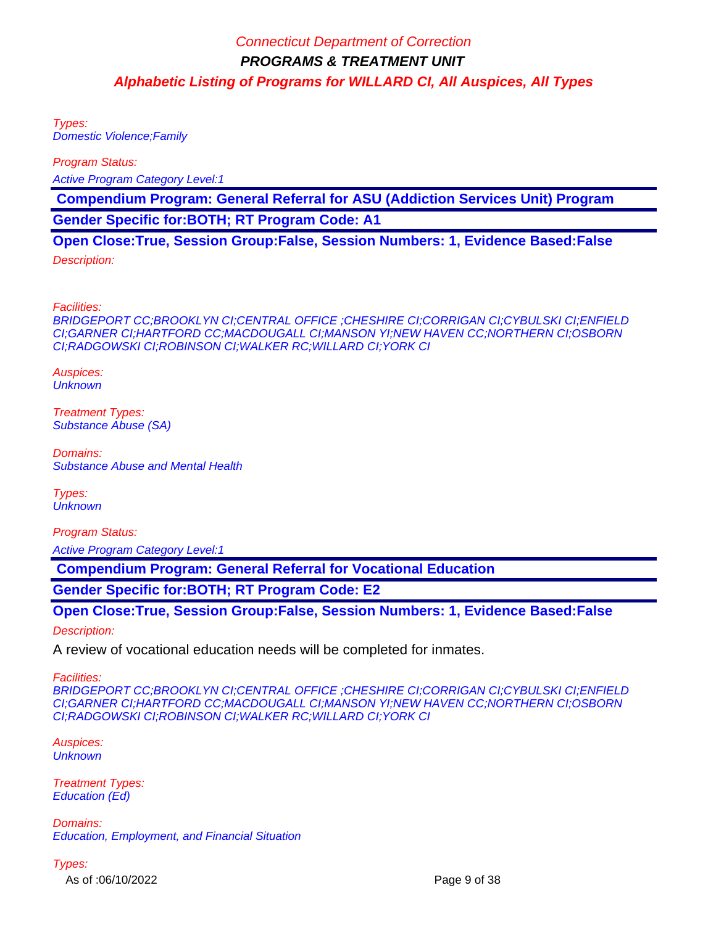Types: Domestic Violence;Family

Program Status:

Active Program Category Level:1

 **Compendium Program: General Referral for ASU (Addiction Services Unit) Program**

**Gender Specific for:BOTH; RT Program Code: A1**

**Open Close:True, Session Group:False, Session Numbers: 1, Evidence Based:False**

Description:

Facilities:

BRIDGEPORT CC;BROOKLYN CI;CENTRAL OFFICE ;CHESHIRE CI;CORRIGAN CI;CYBULSKI CI;ENFIELD CI;GARNER CI;HARTFORD CC;MACDOUGALL CI;MANSON YI;NEW HAVEN CC;NORTHERN CI;OSBORN CI;RADGOWSKI CI;ROBINSON CI;WALKER RC;WILLARD CI;YORK CI

Auspices: **Unknown** 

Treatment Types: Substance Abuse (SA)

Domains: Substance Abuse and Mental Health

Types: **Unknown** 

Program Status:

Active Program Category Level:1

 **Compendium Program: General Referral for Vocational Education**

**Gender Specific for:BOTH; RT Program Code: E2**

**Open Close:True, Session Group:False, Session Numbers: 1, Evidence Based:False**

Description:

A review of vocational education needs will be completed for inmates.

Facilities:

BRIDGEPORT CC;BROOKLYN CI;CENTRAL OFFICE ;CHESHIRE CI;CORRIGAN CI;CYBULSKI CI;ENFIELD CI;GARNER CI;HARTFORD CC;MACDOUGALL CI;MANSON YI;NEW HAVEN CC;NORTHERN CI;OSBORN CI;RADGOWSKI CI;ROBINSON CI;WALKER RC;WILLARD CI;YORK CI

Auspices: **Unknown** 

Treatment Types: Education (Ed)

Domains: Education, Employment, and Financial Situation

Types:

As of :06/10/2022 Page 9 of 38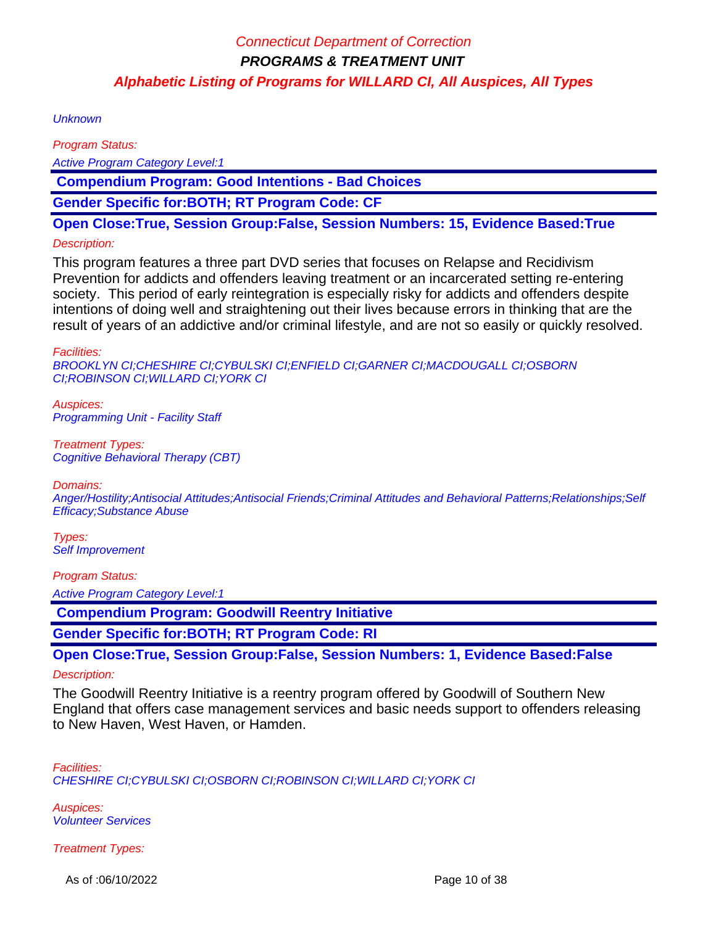**Unknown** 

Program Status:

Active Program Category Level:1

 **Compendium Program: Good Intentions - Bad Choices**

**Gender Specific for:BOTH; RT Program Code: CF**

**Open Close:True, Session Group:False, Session Numbers: 15, Evidence Based:True**

#### Description:

This program features a three part DVD series that focuses on Relapse and Recidivism Prevention for addicts and offenders leaving treatment or an incarcerated setting re-entering society. This period of early reintegration is especially risky for addicts and offenders despite intentions of doing well and straightening out their lives because errors in thinking that are the result of years of an addictive and/or criminal lifestyle, and are not so easily or quickly resolved.

Facilities:

BROOKLYN CI;CHESHIRE CI;CYBULSKI CI;ENFIELD CI;GARNER CI;MACDOUGALL CI;OSBORN CI;ROBINSON CI;WILLARD CI;YORK CI

Auspices: Programming Unit - Facility Staff

Treatment Types: Cognitive Behavioral Therapy (CBT)

Domains:

Anger/Hostility;Antisocial Attitudes;Antisocial Friends;Criminal Attitudes and Behavioral Patterns;Relationships;Self Efficacy;Substance Abuse

Types: Self Improvement

Program Status:

Active Program Category Level:1

 **Compendium Program: Goodwill Reentry Initiative**

**Gender Specific for:BOTH; RT Program Code: RI**

**Open Close:True, Session Group:False, Session Numbers: 1, Evidence Based:False**

#### Description:

The Goodwill Reentry Initiative is a reentry program offered by Goodwill of Southern New England that offers case management services and basic needs support to offenders releasing to New Haven, West Haven, or Hamden.

Facilities: CHESHIRE CI;CYBULSKI CI;OSBORN CI;ROBINSON CI;WILLARD CI;YORK CI

Auspices: Volunteer Services

Treatment Types:

As of :06/10/2022 **Page 10 of 38**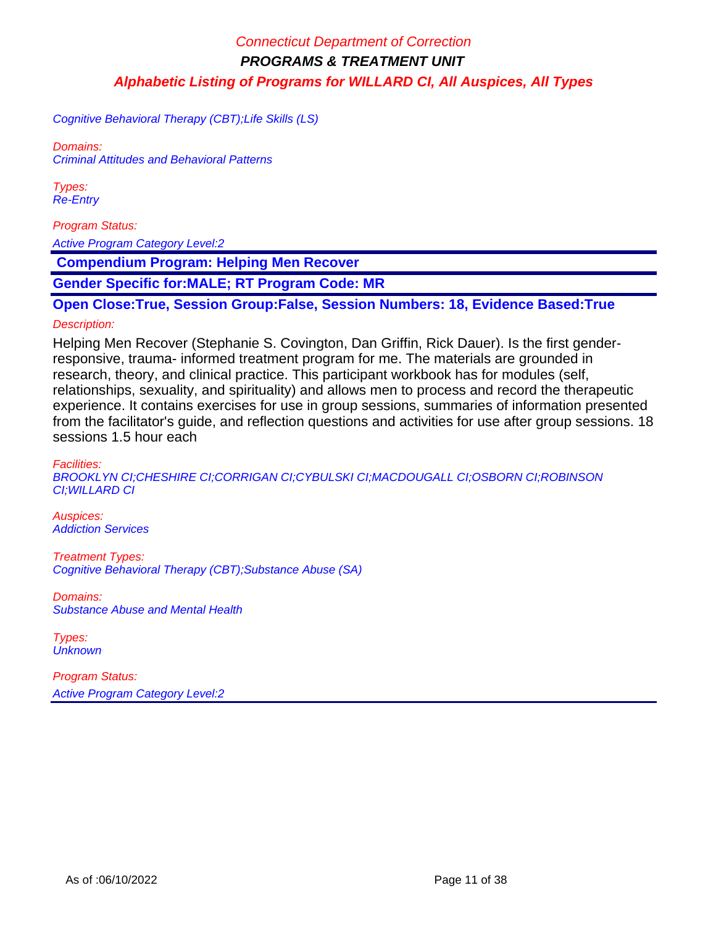Cognitive Behavioral Therapy (CBT);Life Skills (LS)

Domains: Criminal Attitudes and Behavioral Patterns

Types: Re-Entry

Program Status:

Active Program Category Level:2

 **Compendium Program: Helping Men Recover**

**Gender Specific for:MALE; RT Program Code: MR**

**Open Close:True, Session Group:False, Session Numbers: 18, Evidence Based:True**

#### Description:

Helping Men Recover (Stephanie S. Covington, Dan Griffin, Rick Dauer). Is the first genderresponsive, trauma- informed treatment program for me. The materials are grounded in research, theory, and clinical practice. This participant workbook has for modules (self, relationships, sexuality, and spirituality) and allows men to process and record the therapeutic experience. It contains exercises for use in group sessions, summaries of information presented from the facilitator's guide, and reflection questions and activities for use after group sessions. 18 sessions 1.5 hour each

Facilities: BROOKLYN CI;CHESHIRE CI;CORRIGAN CI;CYBULSKI CI;MACDOUGALL CI;OSBORN CI;ROBINSON CI;WILLARD CI

Auspices: Addiction Services

Treatment Types: Cognitive Behavioral Therapy (CBT);Substance Abuse (SA)

Domains: Substance Abuse and Mental Health

Types: **Unknown**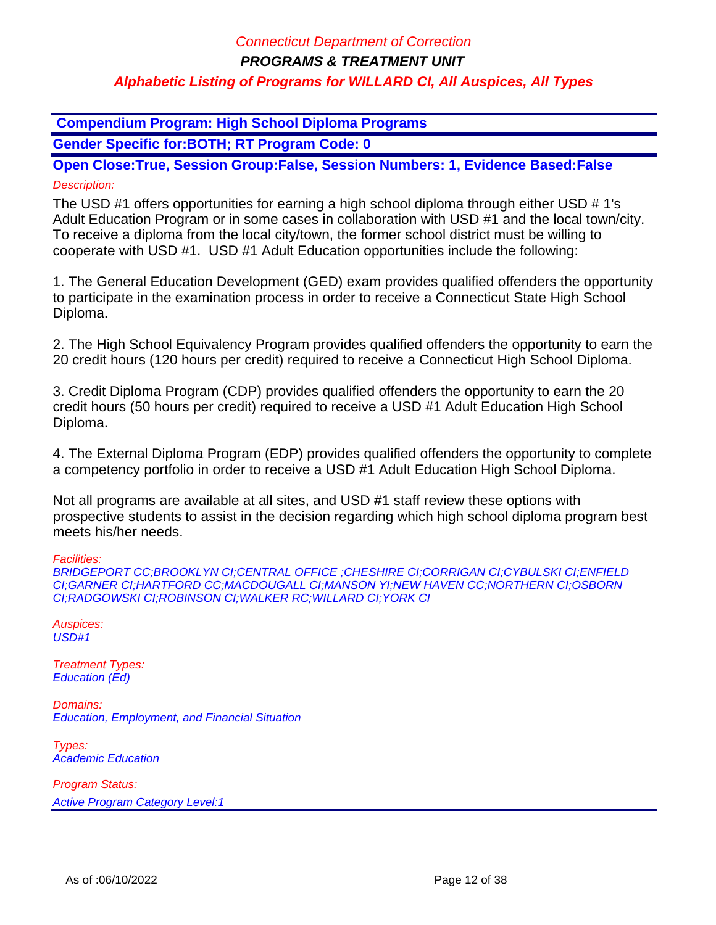**PROGRAMS & TREATMENT UNIT**

### **Alphabetic Listing of Programs for WILLARD CI, All Auspices, All Types**

 **Compendium Program: High School Diploma Programs**

**Gender Specific for:BOTH; RT Program Code: 0**

**Open Close:True, Session Group:False, Session Numbers: 1, Evidence Based:False** Description:

The USD #1 offers opportunities for earning a high school diploma through either USD # 1's Adult Education Program or in some cases in collaboration with USD #1 and the local town/city. To receive a diploma from the local city/town, the former school district must be willing to cooperate with USD #1. USD #1 Adult Education opportunities include the following:

1. The General Education Development (GED) exam provides qualified offenders the opportunity to participate in the examination process in order to receive a Connecticut State High School Diploma.

2. The High School Equivalency Program provides qualified offenders the opportunity to earn the 20 credit hours (120 hours per credit) required to receive a Connecticut High School Diploma.

3. Credit Diploma Program (CDP) provides qualified offenders the opportunity to earn the 20 credit hours (50 hours per credit) required to receive a USD #1 Adult Education High School Diploma.

4. The External Diploma Program (EDP) provides qualified offenders the opportunity to complete a competency portfolio in order to receive a USD #1 Adult Education High School Diploma.

Not all programs are available at all sites, and USD #1 staff review these options with prospective students to assist in the decision regarding which high school diploma program best meets his/her needs.

Facilities:

BRIDGEPORT CC;BROOKLYN CI;CENTRAL OFFICE ;CHESHIRE CI;CORRIGAN CI;CYBULSKI CI;ENFIELD CI;GARNER CI;HARTFORD CC;MACDOUGALL CI;MANSON YI;NEW HAVEN CC;NORTHERN CI;OSBORN CI;RADGOWSKI CI;ROBINSON CI;WALKER RC;WILLARD CI;YORK CI

Auspices:  $USD#1$ 

Treatment Types: Education (Ed)

Domains: Education, Employment, and Financial Situation

Types: Academic Education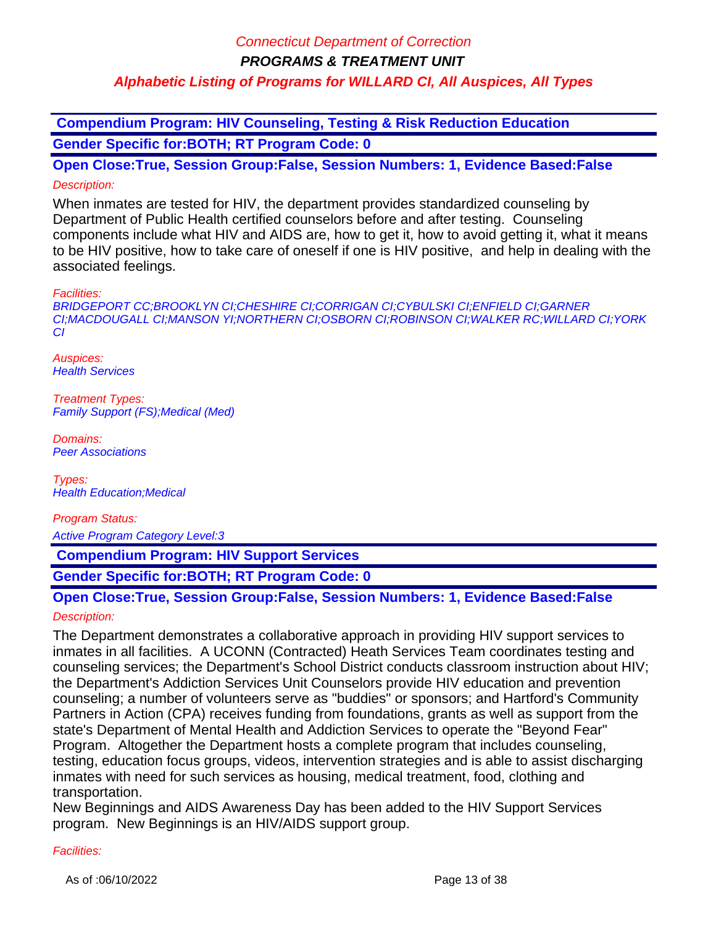**PROGRAMS & TREATMENT UNIT**

### **Alphabetic Listing of Programs for WILLARD CI, All Auspices, All Types**

 **Compendium Program: HIV Counseling, Testing & Risk Reduction Education Gender Specific for:BOTH; RT Program Code: 0**

**Open Close:True, Session Group:False, Session Numbers: 1, Evidence Based:False** Description:

When inmates are tested for HIV, the department provides standardized counseling by Department of Public Health certified counselors before and after testing. Counseling components include what HIV and AIDS are, how to get it, how to avoid getting it, what it means to be HIV positive, how to take care of oneself if one is HIV positive, and help in dealing with the associated feelings.

Facilities:

BRIDGEPORT CC;BROOKLYN CI;CHESHIRE CI;CORRIGAN CI;CYBULSKI CI;ENFIELD CI;GARNER CI;MACDOUGALL CI;MANSON YI;NORTHERN CI;OSBORN CI;ROBINSON CI;WALKER RC;WILLARD CI;YORK CI

Auspices: **Health Services** 

Treatment Types: Family Support (FS);Medical (Med)

Domains: Peer Associations

Types: Health Education;Medical

Program Status:

Active Program Category Level:3

 **Compendium Program: HIV Support Services**

**Gender Specific for:BOTH; RT Program Code: 0**

# **Open Close:True, Session Group:False, Session Numbers: 1, Evidence Based:False**

#### Description:

The Department demonstrates a collaborative approach in providing HIV support services to inmates in all facilities. A UCONN (Contracted) Heath Services Team coordinates testing and counseling services; the Department's School District conducts classroom instruction about HIV; the Department's Addiction Services Unit Counselors provide HIV education and prevention counseling; a number of volunteers serve as "buddies" or sponsors; and Hartford's Community Partners in Action (CPA) receives funding from foundations, grants as well as support from the state's Department of Mental Health and Addiction Services to operate the "Beyond Fear" Program. Altogether the Department hosts a complete program that includes counseling, testing, education focus groups, videos, intervention strategies and is able to assist discharging inmates with need for such services as housing, medical treatment, food, clothing and transportation.

New Beginnings and AIDS Awareness Day has been added to the HIV Support Services program. New Beginnings is an HIV/AIDS support group.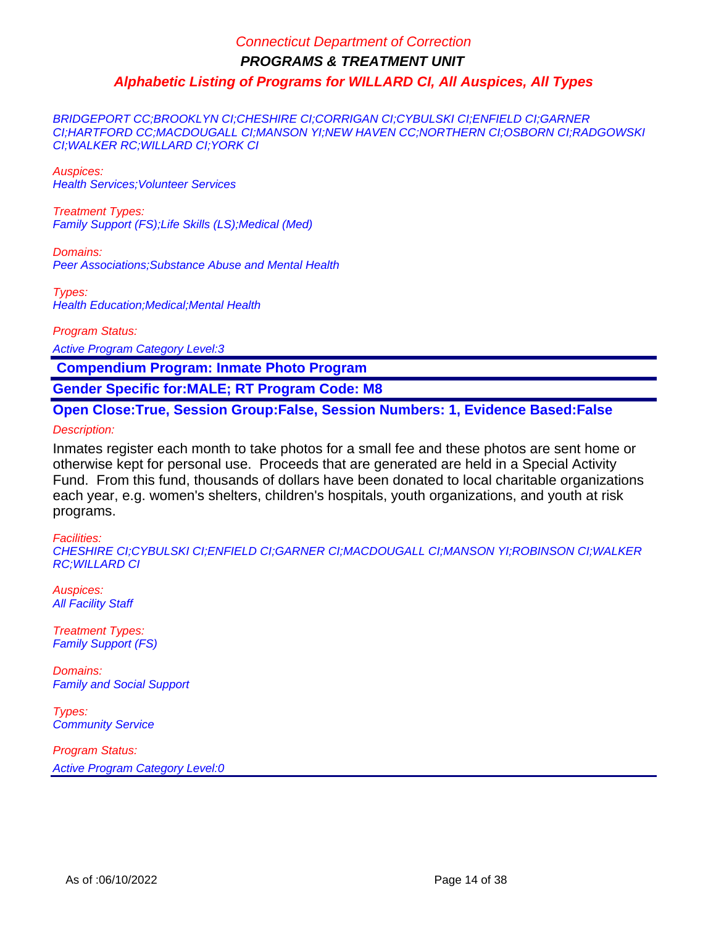BRIDGEPORT CC;BROOKLYN CI;CHESHIRE CI;CORRIGAN CI;CYBULSKI CI;ENFIELD CI;GARNER CI;HARTFORD CC;MACDOUGALL CI;MANSON YI;NEW HAVEN CC;NORTHERN CI;OSBORN CI;RADGOWSKI CI;WALKER RC;WILLARD CI;YORK CI

Auspices: Health Services;Volunteer Services

Treatment Types: Family Support (FS);Life Skills (LS);Medical (Med)

Domains: Peer Associations;Substance Abuse and Mental Health

Types: Health Education;Medical;Mental Health

Program Status:

Active Program Category Level:3

 **Compendium Program: Inmate Photo Program**

**Gender Specific for:MALE; RT Program Code: M8**

**Open Close:True, Session Group:False, Session Numbers: 1, Evidence Based:False**

Description:

Inmates register each month to take photos for a small fee and these photos are sent home or otherwise kept for personal use. Proceeds that are generated are held in a Special Activity Fund. From this fund, thousands of dollars have been donated to local charitable organizations each year, e.g. women's shelters, children's hospitals, youth organizations, and youth at risk programs.

#### Facilities:

CHESHIRE CI;CYBULSKI CI;ENFIELD CI;GARNER CI;MACDOUGALL CI;MANSON YI;ROBINSON CI;WALKER RC;WILLARD CI

Auspices: **All Facility Staff** 

Treatment Types: Family Support (FS)

Domains: Family and Social Support

Types: **Community Service**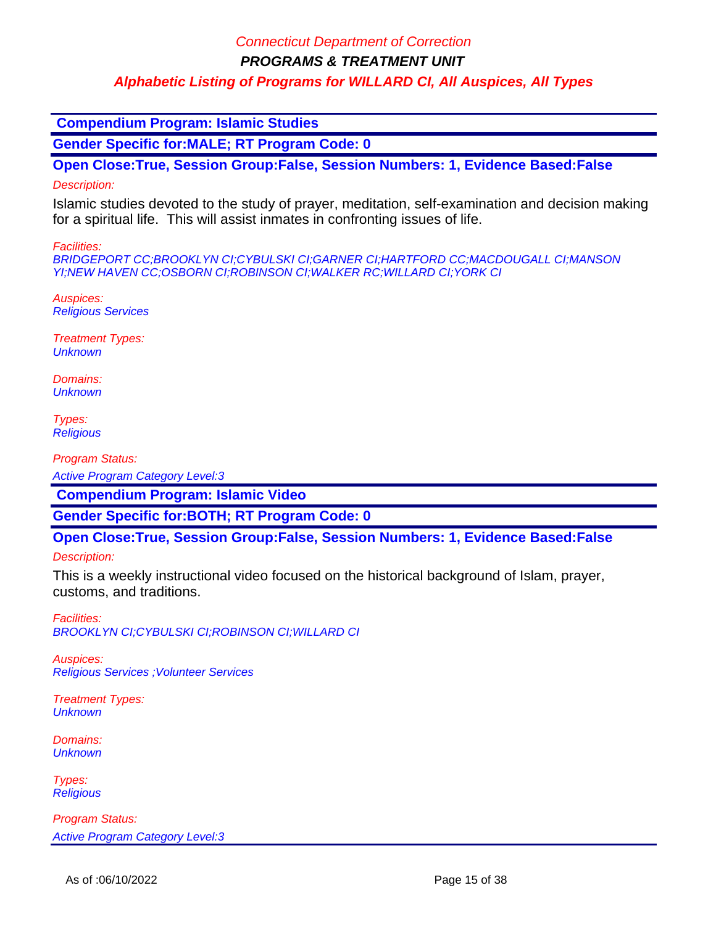**PROGRAMS & TREATMENT UNIT**

### **Alphabetic Listing of Programs for WILLARD CI, All Auspices, All Types**

 **Compendium Program: Islamic Studies**

**Gender Specific for:MALE; RT Program Code: 0**

**Open Close:True, Session Group:False, Session Numbers: 1, Evidence Based:False**

#### Description:

Islamic studies devoted to the study of prayer, meditation, self-examination and decision making for a spiritual life. This will assist inmates in confronting issues of life.

Facilities:

BRIDGEPORT CC;BROOKLYN CI;CYBULSKI CI;GARNER CI;HARTFORD CC;MACDOUGALL CI;MANSON YI;NEW HAVEN CC;OSBORN CI;ROBINSON CI;WALKER RC;WILLARD CI;YORK CI

Auspices: Religious Services

Treatment Types: **Unknown** 

Domains: **Unknown** 

Types: **Religious** 

Program Status:

Active Program Category Level:3

 **Compendium Program: Islamic Video**

**Gender Specific for:BOTH; RT Program Code: 0**

**Open Close:True, Session Group:False, Session Numbers: 1, Evidence Based:False**

Description:

This is a weekly instructional video focused on the historical background of Islam, prayer, customs, and traditions.

Facilities: BROOKLYN CI;CYBULSKI CI;ROBINSON CI;WILLARD CI

Auspices: Religious Services ;Volunteer Services

Treatment Types: **Unknown** 

Domains: **Unknown** 

Types: **Religious**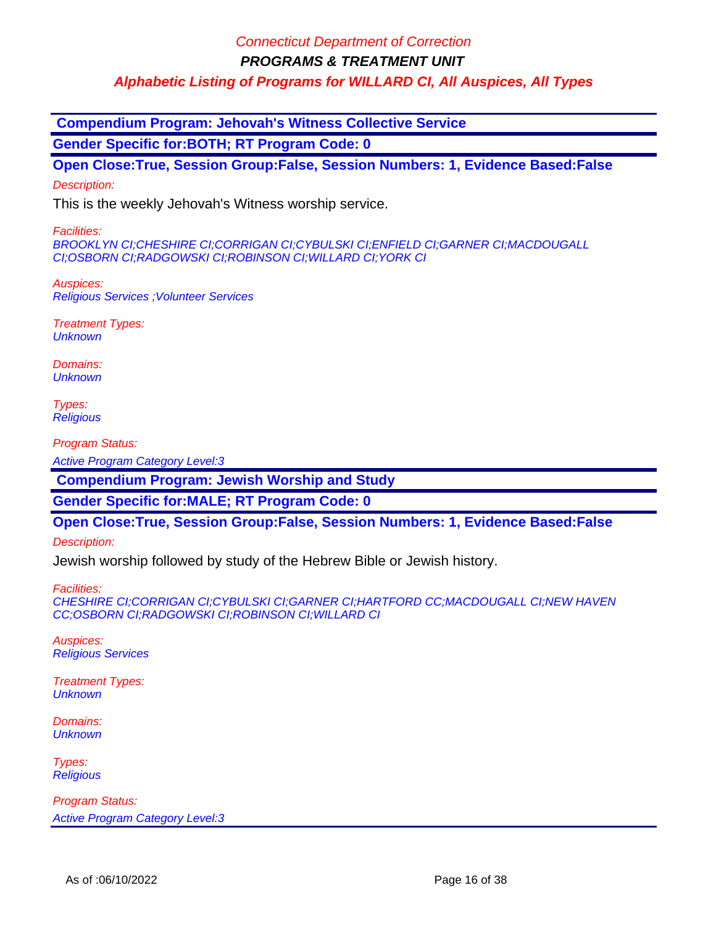**PROGRAMS & TREATMENT UNIT**

**Alphabetic Listing of Programs for WILLARD CI, All Auspices, All Types**

 **Compendium Program: Jehovah's Witness Collective Service**

**Gender Specific for:BOTH; RT Program Code: 0**

**Open Close:True, Session Group:False, Session Numbers: 1, Evidence Based:False**

Description:

This is the weekly Jehovah's Witness worship service.

Facilities:

BROOKLYN CI;CHESHIRE CI;CORRIGAN CI;CYBULSKI CI;ENFIELD CI;GARNER CI;MACDOUGALL CI;OSBORN CI;RADGOWSKI CI;ROBINSON CI;WILLARD CI;YORK CI

Auspices: Religious Services ;Volunteer Services

Treatment Types: **Unknown** 

Domains: **Unknown** 

Types: **Religious** 

Program Status:

Active Program Category Level:3

 **Compendium Program: Jewish Worship and Study**

**Gender Specific for:MALE; RT Program Code: 0**

**Open Close:True, Session Group:False, Session Numbers: 1, Evidence Based:False**

Description:

Jewish worship followed by study of the Hebrew Bible or Jewish history.

Facilities:

CHESHIRE CI;CORRIGAN CI;CYBULSKI CI;GARNER CI;HARTFORD CC;MACDOUGALL CI;NEW HAVEN CC;OSBORN CI;RADGOWSKI CI;ROBINSON CI;WILLARD CI

Auspices: Religious Services

Treatment Types: **Unknown** 

Domains: **Unknown** 

Types: **Religious**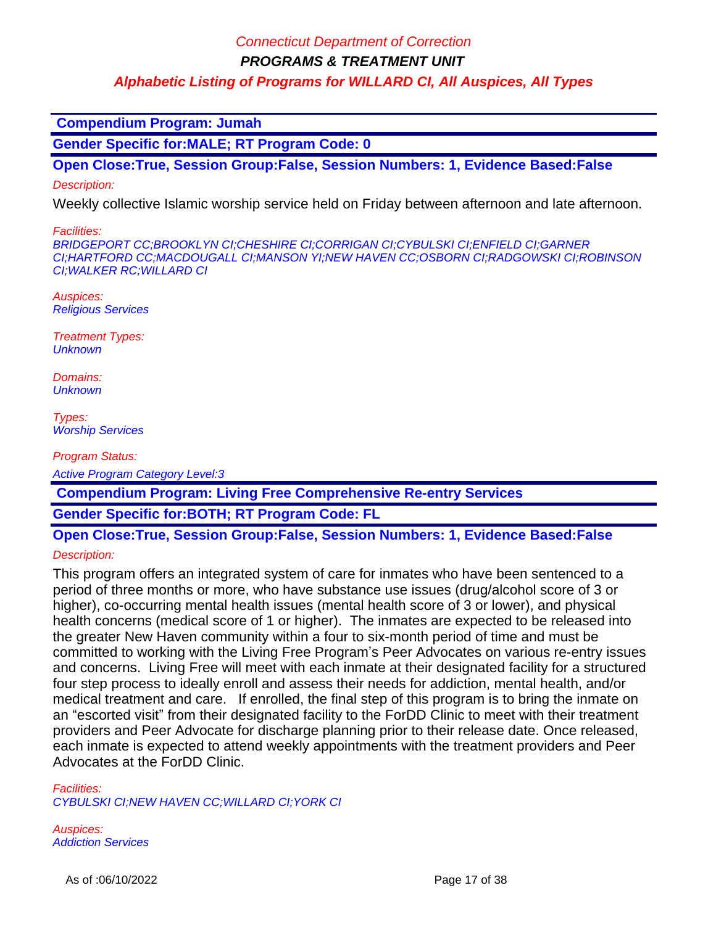**PROGRAMS & TREATMENT UNIT**

**Alphabetic Listing of Programs for WILLARD CI, All Auspices, All Types**

 **Compendium Program: Jumah**

**Gender Specific for:MALE; RT Program Code: 0**

**Open Close:True, Session Group:False, Session Numbers: 1, Evidence Based:False**

Description:

Weekly collective Islamic worship service held on Friday between afternoon and late afternoon.

Facilities:

BRIDGEPORT CC;BROOKLYN CI;CHESHIRE CI;CORRIGAN CI;CYBULSKI CI;ENFIELD CI;GARNER CI;HARTFORD CC;MACDOUGALL CI;MANSON YI;NEW HAVEN CC;OSBORN CI;RADGOWSKI CI;ROBINSON CI;WALKER RC;WILLARD CI

Auspices: Religious Services

Treatment Types: **Unknown** 

Domains: **Unknown** 

Types: Worship Services

Program Status: Active Program Category Level:3

 **Compendium Program: Living Free Comprehensive Re-entry Services**

**Gender Specific for:BOTH; RT Program Code: FL**

# **Open Close:True, Session Group:False, Session Numbers: 1, Evidence Based:False**

Description:

This program offers an integrated system of care for inmates who have been sentenced to a period of three months or more, who have substance use issues (drug/alcohol score of 3 or higher), co-occurring mental health issues (mental health score of 3 or lower), and physical health concerns (medical score of 1 or higher). The inmates are expected to be released into the greater New Haven community within a four to six-month period of time and must be committed to working with the Living Free Program's Peer Advocates on various re-entry issues and concerns. Living Free will meet with each inmate at their designated facility for a structured four step process to ideally enroll and assess their needs for addiction, mental health, and/or medical treatment and care. If enrolled, the final step of this program is to bring the inmate on an "escorted visit" from their designated facility to the ForDD Clinic to meet with their treatment providers and Peer Advocate for discharge planning prior to their release date. Once released, each inmate is expected to attend weekly appointments with the treatment providers and Peer Advocates at the ForDD Clinic.

Facilities:

CYBULSKI CI;NEW HAVEN CC;WILLARD CI;YORK CI

Auspices: Addiction Services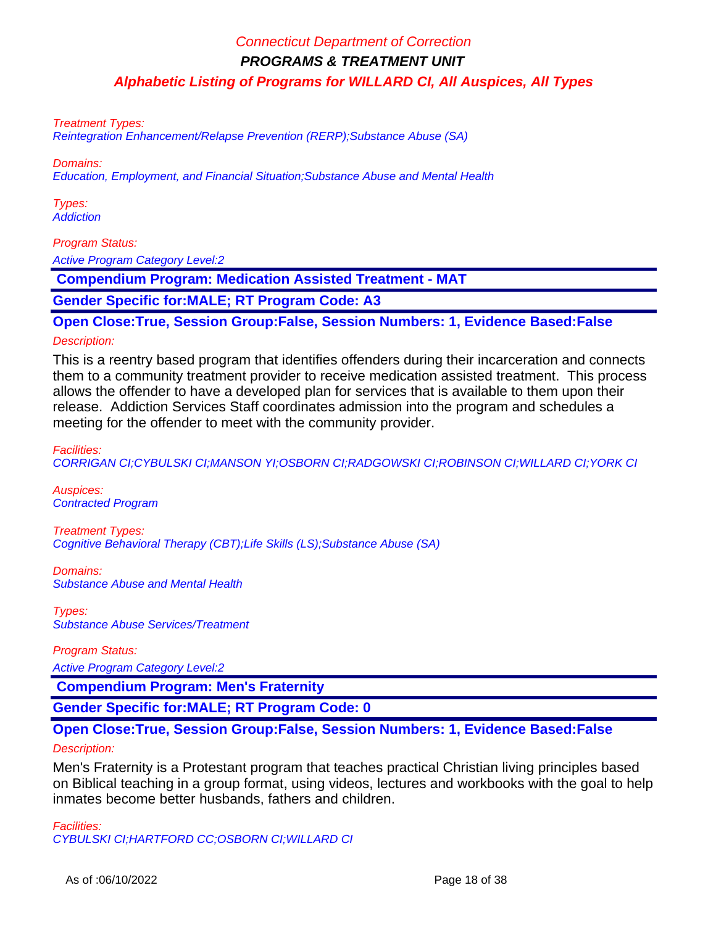Treatment Types:

Reintegration Enhancement/Relapse Prevention (RERP);Substance Abuse (SA)

Domains:

Education, Employment, and Financial Situation;Substance Abuse and Mental Health

Types: **Addiction** 

Program Status:

Active Program Category Level:2

 **Compendium Program: Medication Assisted Treatment - MAT**

**Gender Specific for:MALE; RT Program Code: A3**

**Open Close:True, Session Group:False, Session Numbers: 1, Evidence Based:False**

#### Description:

This is a reentry based program that identifies offenders during their incarceration and connects them to a community treatment provider to receive medication assisted treatment. This process allows the offender to have a developed plan for services that is available to them upon their release. Addiction Services Staff coordinates admission into the program and schedules a meeting for the offender to meet with the community provider.

Facilities: CORRIGAN CI;CYBULSKI CI;MANSON YI;OSBORN CI;RADGOWSKI CI;ROBINSON CI;WILLARD CI;YORK CI

Auspices: Contracted Program

Treatment Types: Cognitive Behavioral Therapy (CBT);Life Skills (LS);Substance Abuse (SA)

Domains: Substance Abuse and Mental Health

Types: Substance Abuse Services/Treatment

Program Status:

Active Program Category Level:2

 **Compendium Program: Men's Fraternity**

**Gender Specific for:MALE; RT Program Code: 0**

# **Open Close:True, Session Group:False, Session Numbers: 1, Evidence Based:False**

Description:

Men's Fraternity is a Protestant program that teaches practical Christian living principles based on Biblical teaching in a group format, using videos, lectures and workbooks with the goal to help inmates become better husbands, fathers and children.

Facilities: CYBULSKI CI;HARTFORD CC;OSBORN CI;WILLARD CI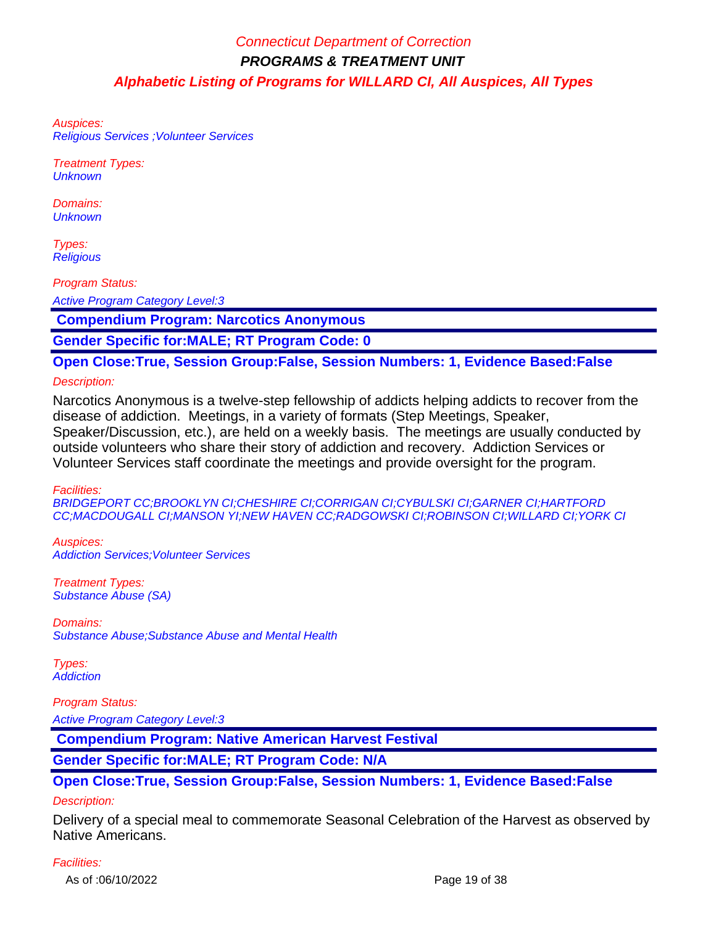Auspices: Religious Services ;Volunteer Services

Treatment Types: **Unknown** 

Domains: **Unknown** 

Types: **Religious** 

Program Status:

Active Program Category Level:3

 **Compendium Program: Narcotics Anonymous**

**Gender Specific for:MALE; RT Program Code: 0**

**Open Close:True, Session Group:False, Session Numbers: 1, Evidence Based:False**

#### Description:

Narcotics Anonymous is a twelve-step fellowship of addicts helping addicts to recover from the disease of addiction. Meetings, in a variety of formats (Step Meetings, Speaker, Speaker/Discussion, etc.), are held on a weekly basis. The meetings are usually conducted by outside volunteers who share their story of addiction and recovery. Addiction Services or Volunteer Services staff coordinate the meetings and provide oversight for the program.

Facilities:

BRIDGEPORT CC;BROOKLYN CI;CHESHIRE CI;CORRIGAN CI;CYBULSKI CI;GARNER CI;HARTFORD CC;MACDOUGALL CI;MANSON YI;NEW HAVEN CC;RADGOWSKI CI;ROBINSON CI;WILLARD CI;YORK CI

Auspices: Addiction Services;Volunteer Services

Treatment Types: Substance Abuse (SA)

Domains: Substance Abuse;Substance Abuse and Mental Health

Types: **Addiction** 

#### Program Status:

Active Program Category Level:3

 **Compendium Program: Native American Harvest Festival**

### **Gender Specific for:MALE; RT Program Code: N/A**

### **Open Close:True, Session Group:False, Session Numbers: 1, Evidence Based:False**

#### Description:

Delivery of a special meal to commemorate Seasonal Celebration of the Harvest as observed by Native Americans.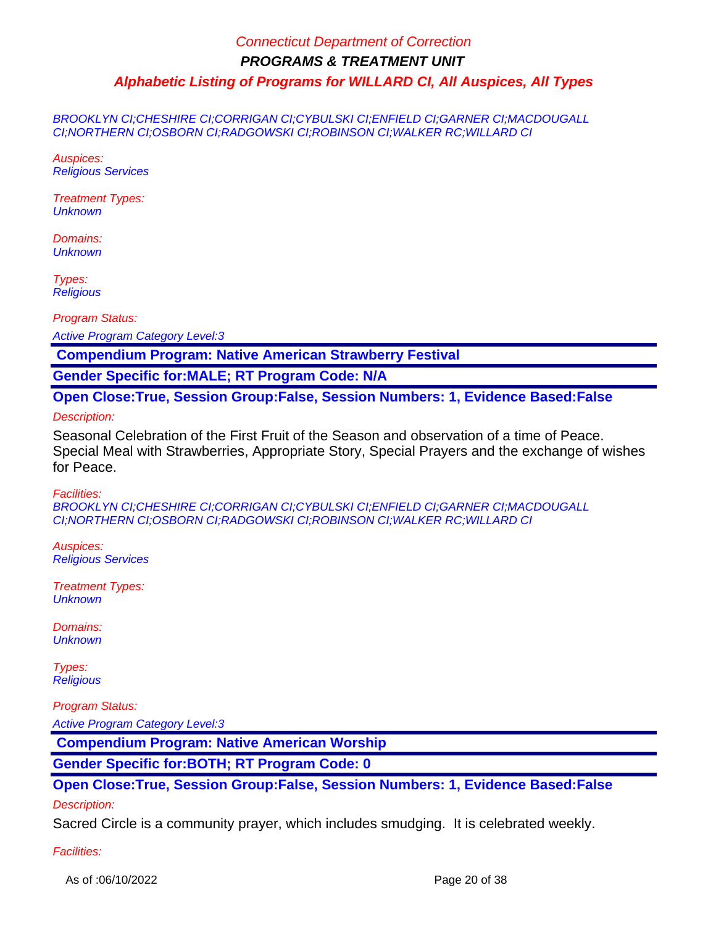BROOKLYN CI;CHESHIRE CI;CORRIGAN CI;CYBULSKI CI;ENFIELD CI;GARNER CI;MACDOUGALL CI;NORTHERN CI;OSBORN CI;RADGOWSKI CI;ROBINSON CI;WALKER RC;WILLARD CI

Auspices: Religious Services

Treatment Types: **Unknown** 

Domains: **Unknown** 

Types: **Religious** 

Program Status:

Active Program Category Level:3

 **Compendium Program: Native American Strawberry Festival**

**Gender Specific for:MALE; RT Program Code: N/A**

**Open Close:True, Session Group:False, Session Numbers: 1, Evidence Based:False**

Description:

Seasonal Celebration of the First Fruit of the Season and observation of a time of Peace. Special Meal with Strawberries, Appropriate Story, Special Prayers and the exchange of wishes for Peace.

Facilities:

BROOKLYN CI;CHESHIRE CI;CORRIGAN CI;CYBULSKI CI;ENFIELD CI;GARNER CI;MACDOUGALL CI;NORTHERN CI;OSBORN CI;RADGOWSKI CI;ROBINSON CI;WALKER RC;WILLARD CI

Auspices: Religious Services

Treatment Types: **Unknown** 

Domains: **Unknown** 

Types: **Religious** 

Program Status: Active Program Category Level:3

 **Compendium Program: Native American Worship**

**Gender Specific for:BOTH; RT Program Code: 0**

**Open Close:True, Session Group:False, Session Numbers: 1, Evidence Based:False** Description:

Sacred Circle is a community prayer, which includes smudging. It is celebrated weekly.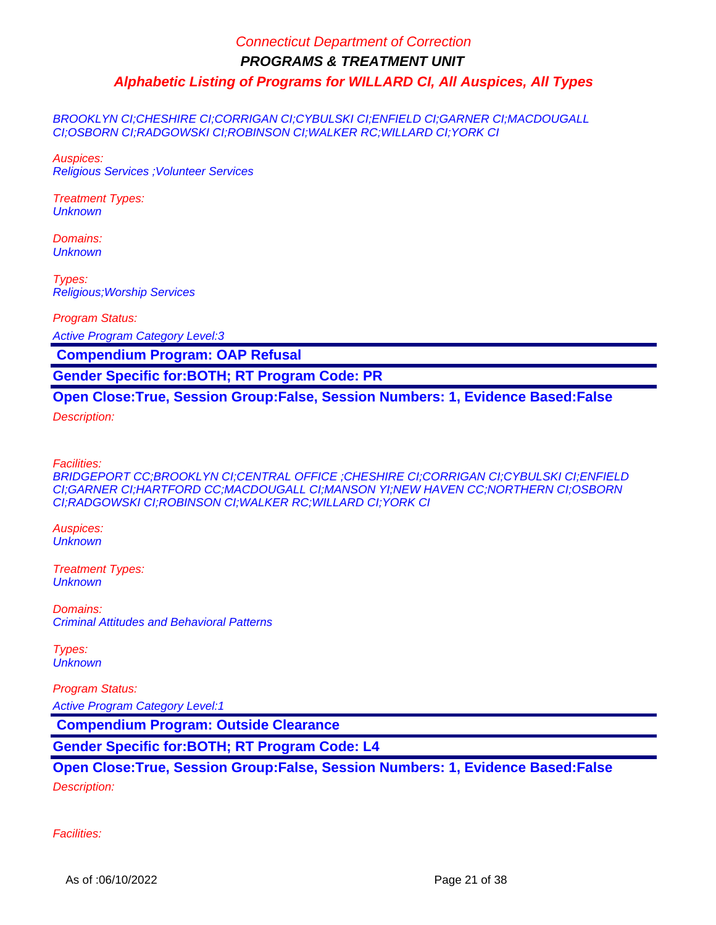BROOKLYN CI;CHESHIRE CI;CORRIGAN CI;CYBULSKI CI;ENFIELD CI;GARNER CI;MACDOUGALL CI;OSBORN CI;RADGOWSKI CI;ROBINSON CI;WALKER RC;WILLARD CI;YORK CI

Auspices: Religious Services ;Volunteer Services

Treatment Types: **Unknown** 

Domains: **Unknown** 

Types: Religious;Worship Services

Program Status:

Active Program Category Level:3

 **Compendium Program: OAP Refusal**

**Gender Specific for:BOTH; RT Program Code: PR**

#### **Open Close:True, Session Group:False, Session Numbers: 1, Evidence Based:False**

Description:

Facilities:

BRIDGEPORT CC;BROOKLYN CI;CENTRAL OFFICE ;CHESHIRE CI;CORRIGAN CI;CYBULSKI CI;ENFIELD CI;GARNER CI;HARTFORD CC;MACDOUGALL CI;MANSON YI;NEW HAVEN CC;NORTHERN CI;OSBORN CI;RADGOWSKI CI;ROBINSON CI;WALKER RC;WILLARD CI;YORK CI

Auspices: **Unknown** 

Treatment Types: **Unknown** 

Domains: Criminal Attitudes and Behavioral Patterns

Types: **Unknown** 

Program Status: Active Program Category Level:1

 **Compendium Program: Outside Clearance**

**Gender Specific for:BOTH; RT Program Code: L4**

### **Open Close:True, Session Group:False, Session Numbers: 1, Evidence Based:False**

Description: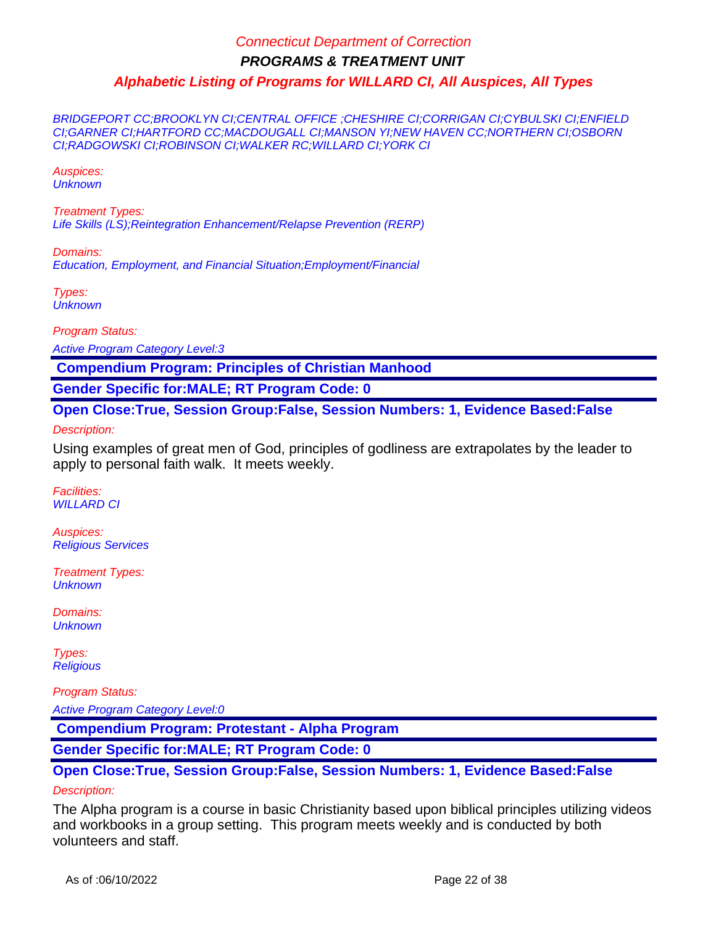BRIDGEPORT CC;BROOKLYN CI;CENTRAL OFFICE ;CHESHIRE CI;CORRIGAN CI;CYBULSKI CI;ENFIELD CI;GARNER CI;HARTFORD CC;MACDOUGALL CI;MANSON YI;NEW HAVEN CC;NORTHERN CI;OSBORN CI;RADGOWSKI CI;ROBINSON CI;WALKER RC;WILLARD CI;YORK CI

Auspices: **Unknown** 

Treatment Types: Life Skills (LS);Reintegration Enhancement/Relapse Prevention (RERP)

Domains: Education, Employment, and Financial Situation;Employment/Financial

Types: **Unknown** 

Program Status:

Active Program Category Level:3

 **Compendium Program: Principles of Christian Manhood**

**Gender Specific for:MALE; RT Program Code: 0**

**Open Close:True, Session Group:False, Session Numbers: 1, Evidence Based:False**

Description:

Using examples of great men of God, principles of godliness are extrapolates by the leader to apply to personal faith walk. It meets weekly.

Facilities: WILLARD CI

Auspices: Religious Services

Treatment Types: **Unknown** 

Domains: **Unknown** 

Types: **Religious** 

Program Status:

Active Program Category Level:0

 **Compendium Program: Protestant - Alpha Program**

**Gender Specific for:MALE; RT Program Code: 0**

**Open Close:True, Session Group:False, Session Numbers: 1, Evidence Based:False**

#### Description:

The Alpha program is a course in basic Christianity based upon biblical principles utilizing videos and workbooks in a group setting. This program meets weekly and is conducted by both volunteers and staff.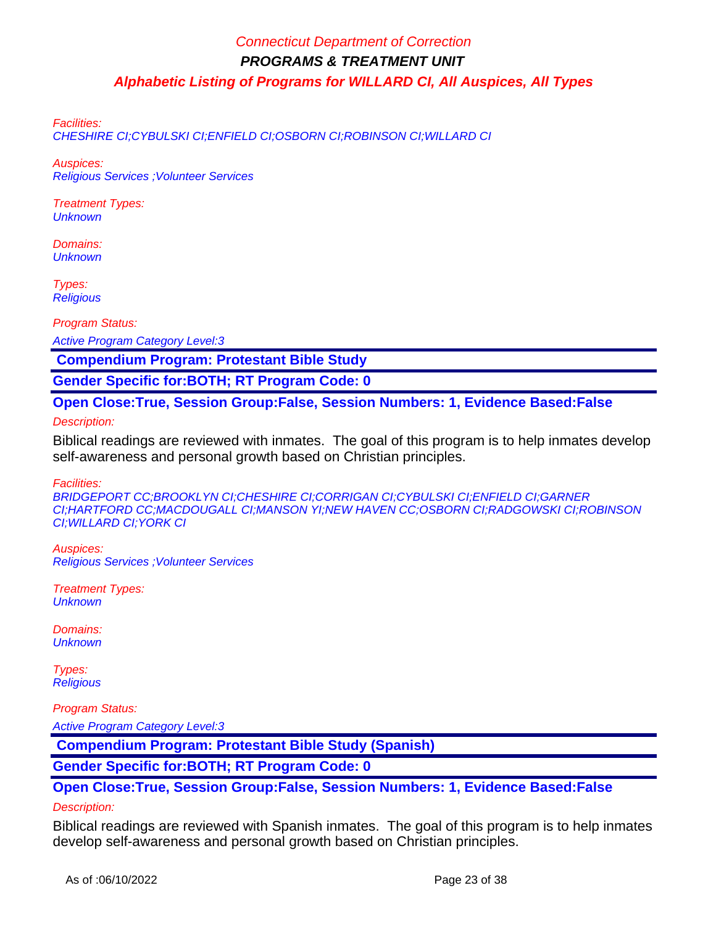Facilities:

CHESHIRE CI;CYBULSKI CI;ENFIELD CI;OSBORN CI;ROBINSON CI;WILLARD CI

Auspices: Religious Services ;Volunteer Services

Treatment Types: **Unknown** 

Domains: **Unknown** 

Types: **Religious** 

Program Status:

Active Program Category Level:3

 **Compendium Program: Protestant Bible Study**

**Gender Specific for:BOTH; RT Program Code: 0**

**Open Close:True, Session Group:False, Session Numbers: 1, Evidence Based:False**

Description:

Biblical readings are reviewed with inmates. The goal of this program is to help inmates develop self-awareness and personal growth based on Christian principles.

Facilities:

BRIDGEPORT CC;BROOKLYN CI;CHESHIRE CI;CORRIGAN CI;CYBULSKI CI;ENFIELD CI;GARNER CI;HARTFORD CC;MACDOUGALL CI;MANSON YI;NEW HAVEN CC;OSBORN CI;RADGOWSKI CI;ROBINSON CI;WILLARD CI;YORK CI

Auspices: Religious Services ;Volunteer Services

Treatment Types: **Unknown** 

Domains: **Unknown** 

Types: **Religious** 

Program Status: Active Program Category Level:3

 **Compendium Program: Protestant Bible Study (Spanish)**

**Gender Specific for:BOTH; RT Program Code: 0**

**Open Close:True, Session Group:False, Session Numbers: 1, Evidence Based:False** Description:

Biblical readings are reviewed with Spanish inmates. The goal of this program is to help inmates develop self-awareness and personal growth based on Christian principles.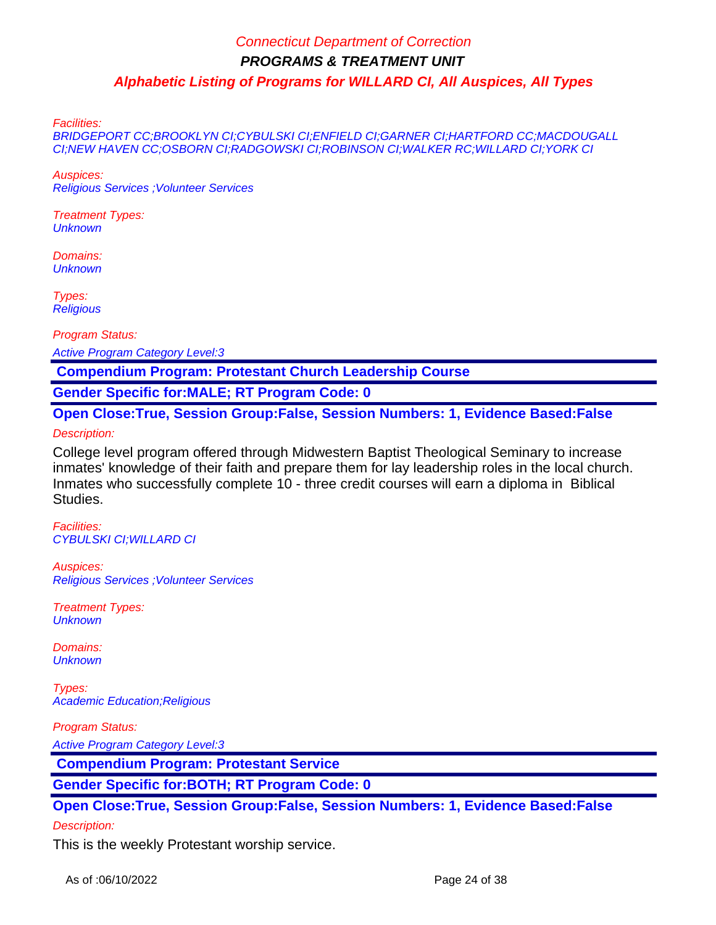Facilities:

BRIDGEPORT CC;BROOKLYN CI;CYBULSKI CI;ENFIELD CI;GARNER CI;HARTFORD CC;MACDOUGALL CI;NEW HAVEN CC;OSBORN CI;RADGOWSKI CI;ROBINSON CI;WALKER RC;WILLARD CI;YORK CI

Auspices: Religious Services ;Volunteer Services

Treatment Types: **Unknown** 

Domains: **Unknown** 

Types: **Religious** 

Program Status:

Active Program Category Level:3

 **Compendium Program: Protestant Church Leadership Course**

**Gender Specific for:MALE; RT Program Code: 0**

**Open Close:True, Session Group:False, Session Numbers: 1, Evidence Based:False** Description:

College level program offered through Midwestern Baptist Theological Seminary to increase inmates' knowledge of their faith and prepare them for lay leadership roles in the local church. Inmates who successfully complete 10 - three credit courses will earn a diploma in Biblical Studies.

Facilities: CYBULSKI CI;WILLARD CI

Auspices: Religious Services ;Volunteer Services

Treatment Types: **Unknown** 

Domains: **Unknown** 

Types: Academic Education;Religious

Program Status:

Active Program Category Level:3

 **Compendium Program: Protestant Service**

**Gender Specific for:BOTH; RT Program Code: 0**

**Open Close:True, Session Group:False, Session Numbers: 1, Evidence Based:False**

#### Description:

This is the weekly Protestant worship service.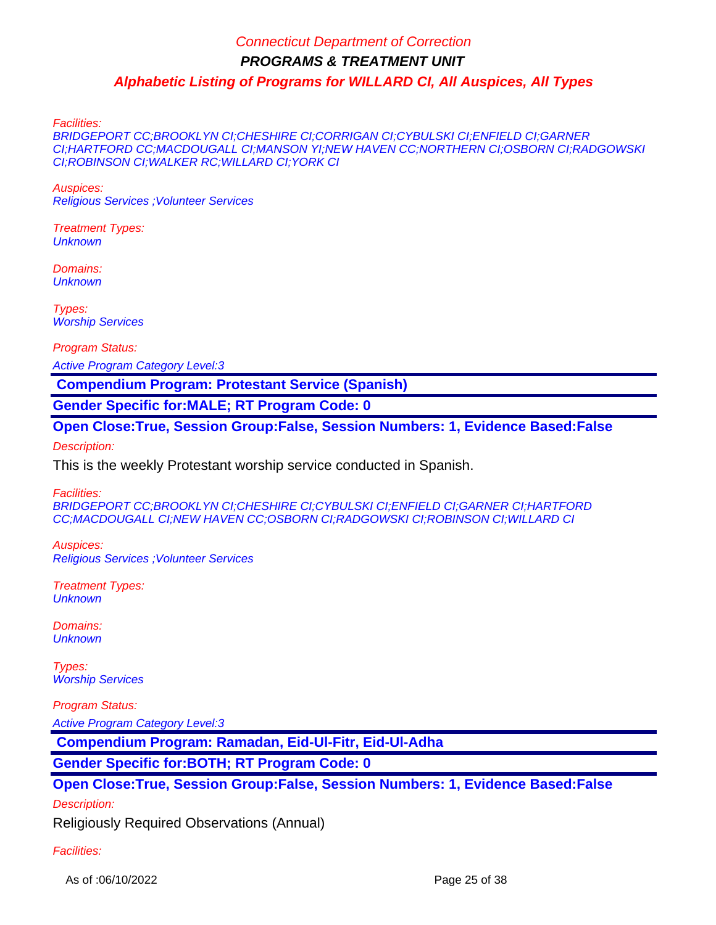Facilities:

BRIDGEPORT CC;BROOKLYN CI;CHESHIRE CI;CORRIGAN CI;CYBULSKI CI;ENFIELD CI;GARNER CI;HARTFORD CC;MACDOUGALL CI;MANSON YI;NEW HAVEN CC;NORTHERN CI;OSBORN CI;RADGOWSKI CI;ROBINSON CI;WALKER RC;WILLARD CI;YORK CI

Auspices:

Religious Services ;Volunteer Services

Treatment Types: **Unknown** 

Domains: **Unknown** 

Types: Worship Services

Program Status:

Active Program Category Level:3

 **Compendium Program: Protestant Service (Spanish)**

**Gender Specific for:MALE; RT Program Code: 0**

**Open Close:True, Session Group:False, Session Numbers: 1, Evidence Based:False** Description:

This is the weekly Protestant worship service conducted in Spanish.

Facilities:

BRIDGEPORT CC;BROOKLYN CI;CHESHIRE CI;CYBULSKI CI;ENFIELD CI;GARNER CI;HARTFORD CC;MACDOUGALL CI;NEW HAVEN CC;OSBORN CI;RADGOWSKI CI;ROBINSON CI;WILLARD CI

Auspices: Religious Services ;Volunteer Services

Treatment Types: **Unknown** 

Domains: **Unknown** 

Types: Worship Services

Program Status:

Active Program Category Level:3

 **Compendium Program: Ramadan, Eid-Ul-Fitr, Eid-Ul-Adha**

**Gender Specific for:BOTH; RT Program Code: 0**

**Open Close:True, Session Group:False, Session Numbers: 1, Evidence Based:False**

Description:

Religiously Required Observations (Annual)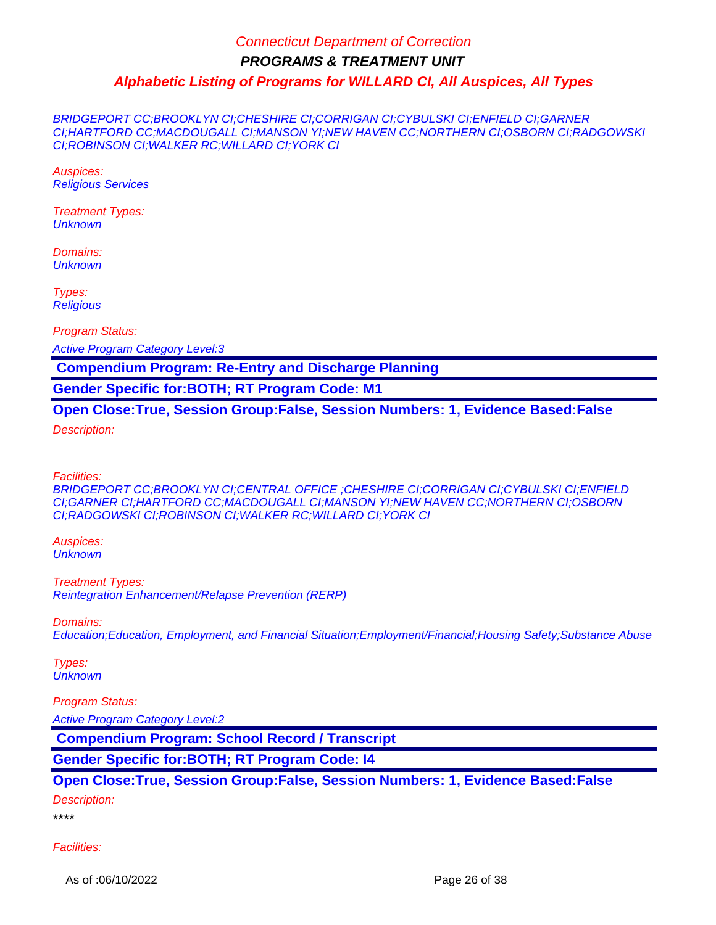BRIDGEPORT CC;BROOKLYN CI;CHESHIRE CI;CORRIGAN CI;CYBULSKI CI;ENFIELD CI;GARNER CI;HARTFORD CC;MACDOUGALL CI;MANSON YI;NEW HAVEN CC;NORTHERN CI;OSBORN CI;RADGOWSKI CI;ROBINSON CI;WALKER RC;WILLARD CI;YORK CI

Auspices: Religious Services

Treatment Types: **Unknown** 

Domains: **Unknown** 

Types: **Religious** 

Program Status:

Active Program Category Level:3

 **Compendium Program: Re-Entry and Discharge Planning**

**Gender Specific for:BOTH; RT Program Code: M1**

**Open Close:True, Session Group:False, Session Numbers: 1, Evidence Based:False**

Description:

Facilities:

BRIDGEPORT CC;BROOKLYN CI;CENTRAL OFFICE ;CHESHIRE CI;CORRIGAN CI;CYBULSKI CI;ENFIELD CI;GARNER CI;HARTFORD CC;MACDOUGALL CI;MANSON YI;NEW HAVEN CC;NORTHERN CI;OSBORN CI;RADGOWSKI CI;ROBINSON CI;WALKER RC;WILLARD CI;YORK CI

Auspices: **Unknown** 

Treatment Types: Reintegration Enhancement/Relapse Prevention (RERP)

Domains:

Education;Education, Employment, and Financial Situation;Employment/Financial;Housing Safety;Substance Abuse

Types: **Unknown** 

#### Program Status:

Active Program Category Level:2

 **Compendium Program: School Record / Transcript**

**Gender Specific for:BOTH; RT Program Code: I4**

**Open Close:True, Session Group:False, Session Numbers: 1, Evidence Based:False**

Description:

\*\*\*\*

Facilities:

As of :06/10/2022 **Page 26 of 38**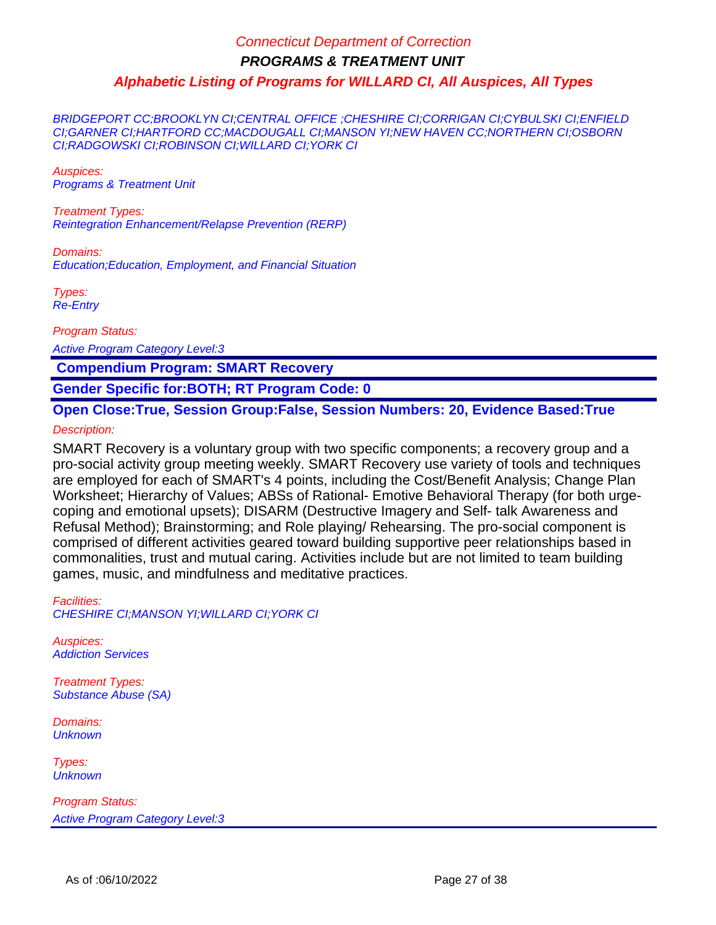BRIDGEPORT CC;BROOKLYN CI;CENTRAL OFFICE ;CHESHIRE CI;CORRIGAN CI;CYBULSKI CI;ENFIELD CI;GARNER CI;HARTFORD CC;MACDOUGALL CI;MANSON YI;NEW HAVEN CC;NORTHERN CI;OSBORN CI;RADGOWSKI CI;ROBINSON CI;WILLARD CI;YORK CI

Auspices: Programs & Treatment Unit

Treatment Types: Reintegration Enhancement/Relapse Prevention (RERP)

Domains: Education;Education, Employment, and Financial Situation

Types: Re-Entry

Program Status:

Active Program Category Level:3

 **Compendium Program: SMART Recovery**

**Gender Specific for:BOTH; RT Program Code: 0**

**Open Close:True, Session Group:False, Session Numbers: 20, Evidence Based:True**

Description:

SMART Recovery is a voluntary group with two specific components; a recovery group and a pro-social activity group meeting weekly. SMART Recovery use variety of tools and techniques are employed for each of SMART's 4 points, including the Cost/Benefit Analysis; Change Plan Worksheet; Hierarchy of Values; ABSs of Rational- Emotive Behavioral Therapy (for both urgecoping and emotional upsets); DISARM (Destructive Imagery and Self- talk Awareness and Refusal Method); Brainstorming; and Role playing/ Rehearsing. The pro-social component is comprised of different activities geared toward building supportive peer relationships based in commonalities, trust and mutual caring. Activities include but are not limited to team building games, music, and mindfulness and meditative practices.

Facilities: CHESHIRE CI;MANSON YI;WILLARD CI;YORK CI

Auspices: Addiction Services

Treatment Types: Substance Abuse (SA)

Domains: **Unknown** 

Types: **Unknown**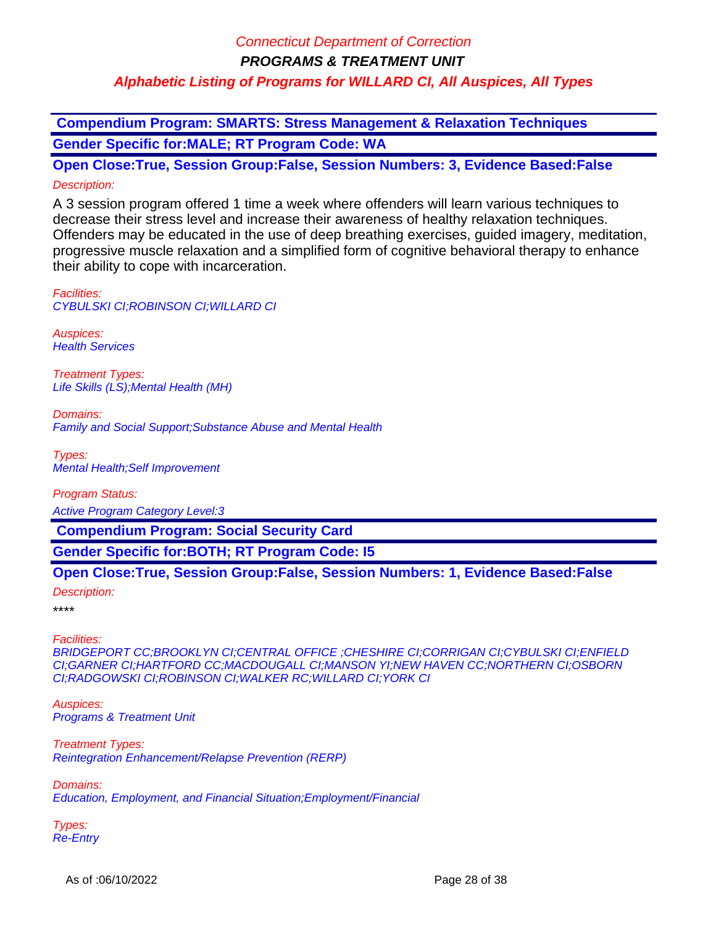**Compendium Program: SMARTS: Stress Management & Relaxation Techniques Gender Specific for:MALE; RT Program Code: WA**

**Open Close:True, Session Group:False, Session Numbers: 3, Evidence Based:False** Description:

A 3 session program offered 1 time a week where offenders will learn various techniques to decrease their stress level and increase their awareness of healthy relaxation techniques. Offenders may be educated in the use of deep breathing exercises, guided imagery, meditation, progressive muscle relaxation and a simplified form of cognitive behavioral therapy to enhance their ability to cope with incarceration.

Facilities: CYBULSKI CI;ROBINSON CI;WILLARD CI

Auspices: **Health Services** 

Treatment Types: Life Skills (LS);Mental Health (MH)

Domains: Family and Social Support;Substance Abuse and Mental Health

Types: Mental Health;Self Improvement

Program Status: Active Program Category Level:3

 **Compendium Program: Social Security Card**

**Gender Specific for:BOTH; RT Program Code: I5**

### **Open Close:True, Session Group:False, Session Numbers: 1, Evidence Based:False**

Description:

\*\*\*\*

Facilities:

BRIDGEPORT CC;BROOKLYN CI;CENTRAL OFFICE ;CHESHIRE CI;CORRIGAN CI;CYBULSKI CI;ENFIELD CI;GARNER CI;HARTFORD CC;MACDOUGALL CI;MANSON YI;NEW HAVEN CC;NORTHERN CI;OSBORN CI;RADGOWSKI CI;ROBINSON CI;WALKER RC;WILLARD CI;YORK CI

Auspices: Programs & Treatment Unit

Treatment Types: Reintegration Enhancement/Relapse Prevention (RERP)

Domains: Education, Employment, and Financial Situation;Employment/Financial

Types: Re-Entry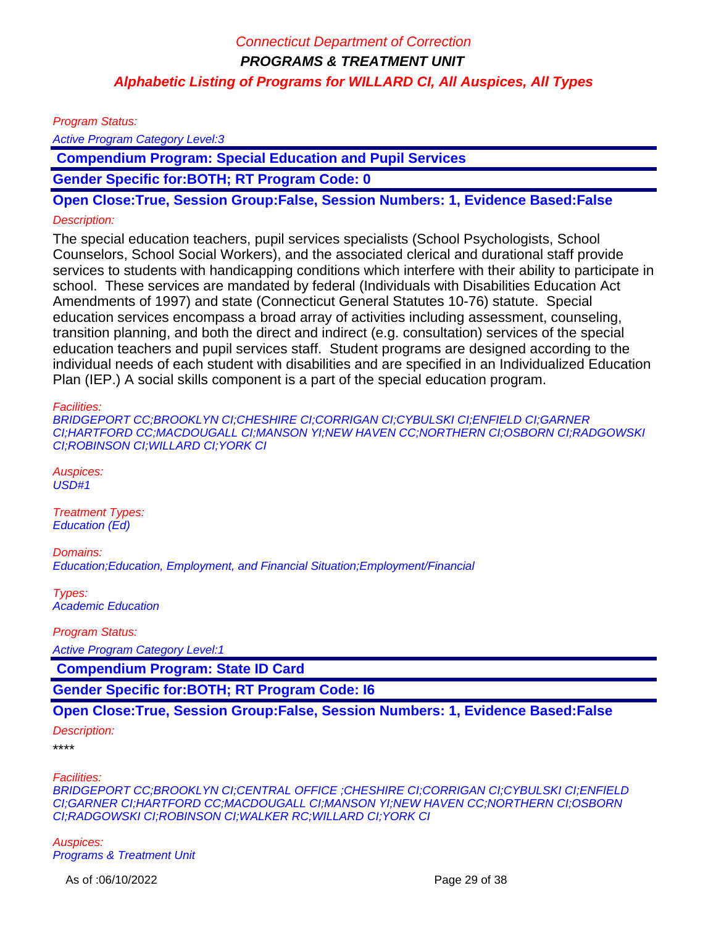Program Status:

Active Program Category Level:3

 **Compendium Program: Special Education and Pupil Services**

**Gender Specific for:BOTH; RT Program Code: 0**

**Open Close:True, Session Group:False, Session Numbers: 1, Evidence Based:False**

#### Description:

The special education teachers, pupil services specialists (School Psychologists, School Counselors, School Social Workers), and the associated clerical and durational staff provide services to students with handicapping conditions which interfere with their ability to participate in school. These services are mandated by federal (Individuals with Disabilities Education Act Amendments of 1997) and state (Connecticut General Statutes 10-76) statute. Special education services encompass a broad array of activities including assessment, counseling, transition planning, and both the direct and indirect (e.g. consultation) services of the special education teachers and pupil services staff. Student programs are designed according to the individual needs of each student with disabilities and are specified in an Individualized Education Plan (IEP.) A social skills component is a part of the special education program.

#### Facilities:

BRIDGEPORT CC;BROOKLYN CI;CHESHIRE CI;CORRIGAN CI;CYBULSKI CI;ENFIELD CI;GARNER CI;HARTFORD CC;MACDOUGALL CI;MANSON YI;NEW HAVEN CC;NORTHERN CI;OSBORN CI;RADGOWSKI CI;ROBINSON CI;WILLARD CI;YORK CI

Auspices:  $\overline{USD}$ #1

Treatment Types: Education (Ed)

Domains: Education;Education, Employment, and Financial Situation;Employment/Financial

Types: Academic Education

Program Status:

Active Program Category Level:1

 **Compendium Program: State ID Card**

**Gender Specific for:BOTH; RT Program Code: I6**

#### **Open Close:True, Session Group:False, Session Numbers: 1, Evidence Based:False**

#### Description:

\*\*\*\*

#### Facilities:

BRIDGEPORT CC;BROOKLYN CI;CENTRAL OFFICE ;CHESHIRE CI;CORRIGAN CI;CYBULSKI CI;ENFIELD CI;GARNER CI;HARTFORD CC;MACDOUGALL CI;MANSON YI;NEW HAVEN CC;NORTHERN CI;OSBORN CI;RADGOWSKI CI;ROBINSON CI;WALKER RC;WILLARD CI;YORK CI

Auspices: Programs & Treatment Unit

As of :06/10/2022 **Page 29 of 38**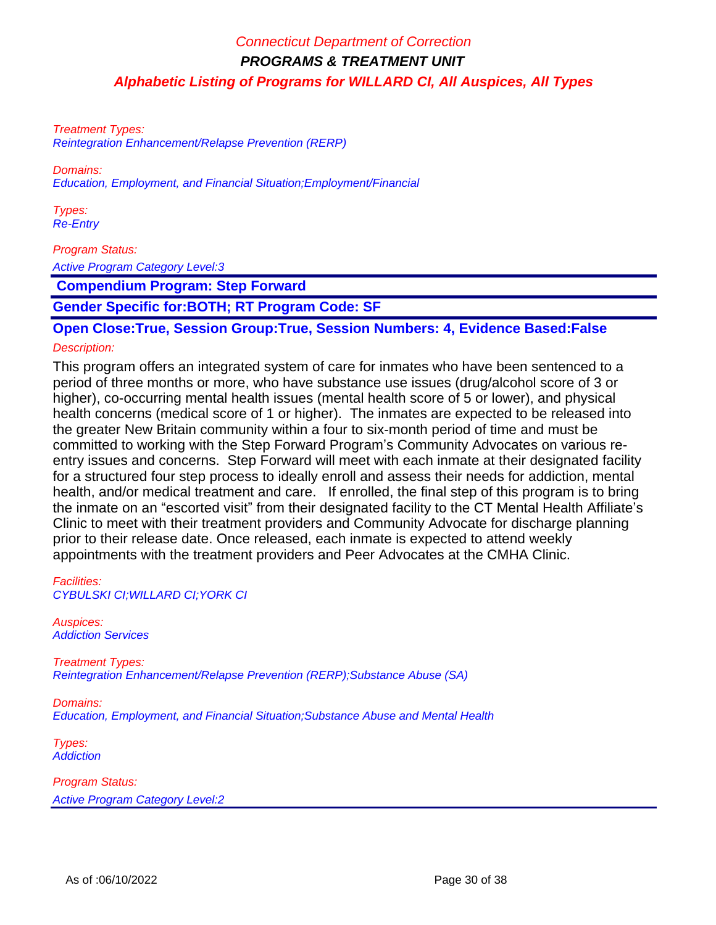Treatment Types: Reintegration Enhancement/Relapse Prevention (RERP)

Domains: Education, Employment, and Financial Situation;Employment/Financial

Types: Re-Entry

Program Status:

Active Program Category Level:3

 **Compendium Program: Step Forward**

**Gender Specific for:BOTH; RT Program Code: SF**

**Open Close:True, Session Group:True, Session Numbers: 4, Evidence Based:False**

### Description:

This program offers an integrated system of care for inmates who have been sentenced to a period of three months or more, who have substance use issues (drug/alcohol score of 3 or higher), co-occurring mental health issues (mental health score of 5 or lower), and physical health concerns (medical score of 1 or higher). The inmates are expected to be released into the greater New Britain community within a four to six-month period of time and must be committed to working with the Step Forward Program's Community Advocates on various reentry issues and concerns. Step Forward will meet with each inmate at their designated facility for a structured four step process to ideally enroll and assess their needs for addiction, mental health, and/or medical treatment and care. If enrolled, the final step of this program is to bring the inmate on an "escorted visit" from their designated facility to the CT Mental Health Affiliate's Clinic to meet with their treatment providers and Community Advocate for discharge planning prior to their release date. Once released, each inmate is expected to attend weekly appointments with the treatment providers and Peer Advocates at the CMHA Clinic.

Facilities: CYBULSKI CI;WILLARD CI;YORK CI

Auspices: Addiction Services

Treatment Types: Reintegration Enhancement/Relapse Prevention (RERP);Substance Abuse (SA)

Domains: Education, Employment, and Financial Situation;Substance Abuse and Mental Health

Types: **Addiction**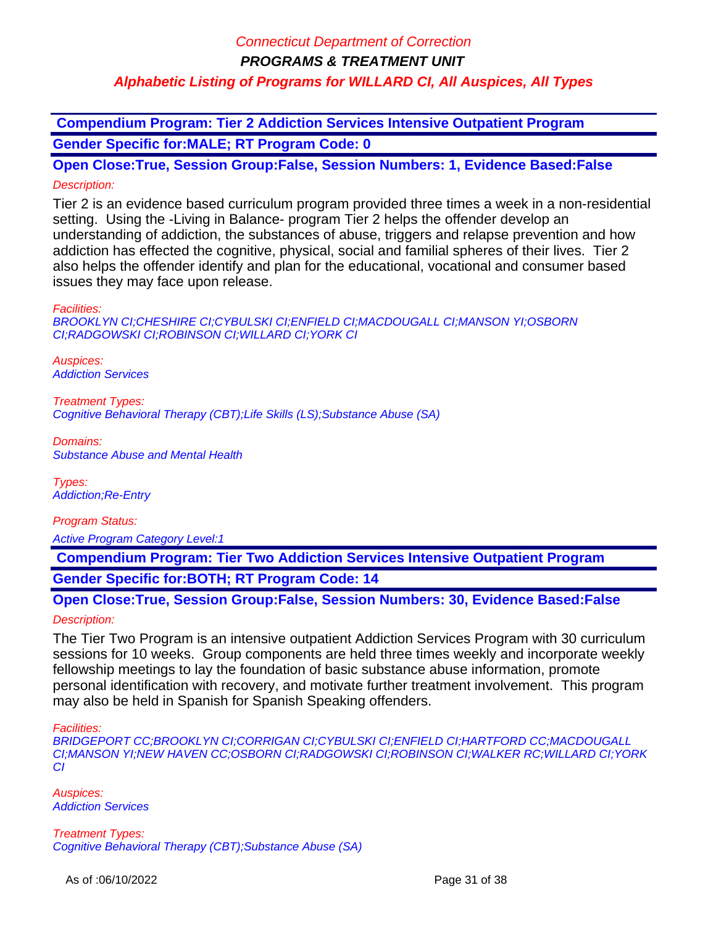**PROGRAMS & TREATMENT UNIT**

### **Alphabetic Listing of Programs for WILLARD CI, All Auspices, All Types**

 **Compendium Program: Tier 2 Addiction Services Intensive Outpatient Program Gender Specific for:MALE; RT Program Code: 0**

**Open Close:True, Session Group:False, Session Numbers: 1, Evidence Based:False** Description:

Tier 2 is an evidence based curriculum program provided three times a week in a non-residential setting. Using the -Living in Balance- program Tier 2 helps the offender develop an understanding of addiction, the substances of abuse, triggers and relapse prevention and how addiction has effected the cognitive, physical, social and familial spheres of their lives. Tier 2 also helps the offender identify and plan for the educational, vocational and consumer based issues they may face upon release.

#### Facilities:

BROOKLYN CI;CHESHIRE CI;CYBULSKI CI;ENFIELD CI;MACDOUGALL CI;MANSON YI;OSBORN CI;RADGOWSKI CI;ROBINSON CI;WILLARD CI;YORK CI

Auspices: Addiction Services

Treatment Types: Cognitive Behavioral Therapy (CBT);Life Skills (LS);Substance Abuse (SA)

Domains: Substance Abuse and Mental Health

Types: Addiction;Re-Entry

Program Status:

Active Program Category Level:1

 **Compendium Program: Tier Two Addiction Services Intensive Outpatient Program Gender Specific for:BOTH; RT Program Code: 14**

**Open Close:True, Session Group:False, Session Numbers: 30, Evidence Based:False** Description:

The Tier Two Program is an intensive outpatient Addiction Services Program with 30 curriculum sessions for 10 weeks. Group components are held three times weekly and incorporate weekly fellowship meetings to lay the foundation of basic substance abuse information, promote personal identification with recovery, and motivate further treatment involvement. This program may also be held in Spanish for Spanish Speaking offenders.

#### Facilities:

BRIDGEPORT CC;BROOKLYN CI;CORRIGAN CI;CYBULSKI CI;ENFIELD CI;HARTFORD CC;MACDOUGALL CI;MANSON YI;NEW HAVEN CC;OSBORN CI;RADGOWSKI CI;ROBINSON CI;WALKER RC;WILLARD CI;YORK CI

Auspices: Addiction Services

Treatment Types: Cognitive Behavioral Therapy (CBT);Substance Abuse (SA)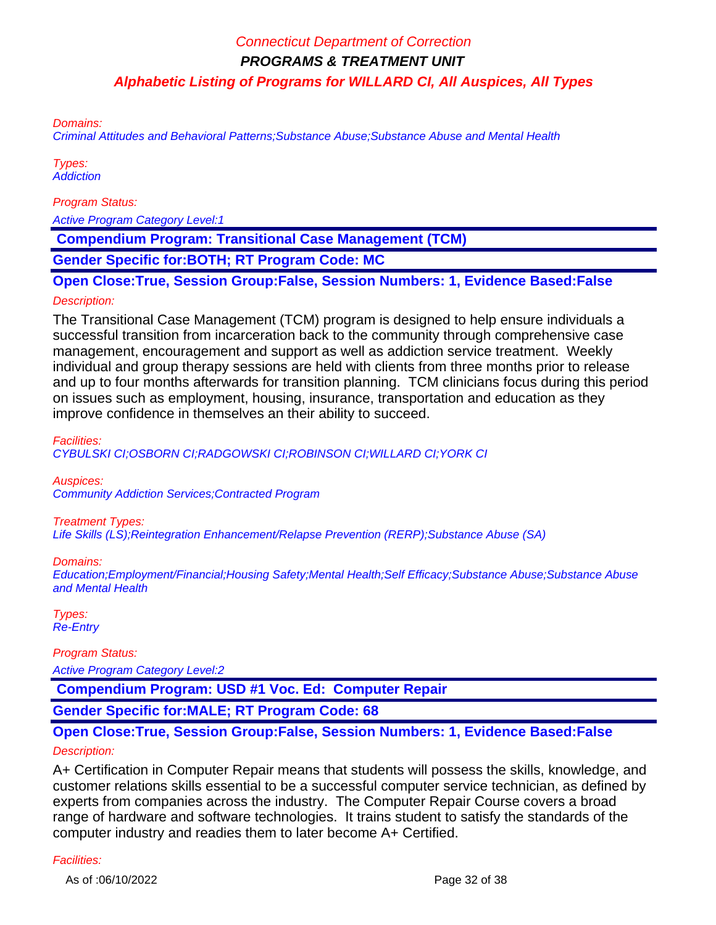Domains:

Criminal Attitudes and Behavioral Patterns;Substance Abuse;Substance Abuse and Mental Health

Types: **Addiction** 

Program Status:

Active Program Category Level:1

 **Compendium Program: Transitional Case Management (TCM)**

**Gender Specific for:BOTH; RT Program Code: MC**

**Open Close:True, Session Group:False, Session Numbers: 1, Evidence Based:False**

#### Description:

The Transitional Case Management (TCM) program is designed to help ensure individuals a successful transition from incarceration back to the community through comprehensive case management, encouragement and support as well as addiction service treatment. Weekly individual and group therapy sessions are held with clients from three months prior to release and up to four months afterwards for transition planning. TCM clinicians focus during this period on issues such as employment, housing, insurance, transportation and education as they improve confidence in themselves an their ability to succeed.

Facilities:

CYBULSKI CI;OSBORN CI;RADGOWSKI CI;ROBINSON CI;WILLARD CI;YORK CI

Auspices:

Community Addiction Services;Contracted Program

#### Treatment Types:

Life Skills (LS);Reintegration Enhancement/Relapse Prevention (RERP);Substance Abuse (SA)

Domains:

Education;Employment/Financial;Housing Safety;Mental Health;Self Efficacy;Substance Abuse;Substance Abuse and Mental Health

Types: Re-Entry

Program Status:

Active Program Category Level:2

 **Compendium Program: USD #1 Voc. Ed: Computer Repair**

**Gender Specific for:MALE; RT Program Code: 68**

# **Open Close:True, Session Group:False, Session Numbers: 1, Evidence Based:False**

### Description:

A+ Certification in Computer Repair means that students will possess the skills, knowledge, and customer relations skills essential to be a successful computer service technician, as defined by experts from companies across the industry. The Computer Repair Course covers a broad range of hardware and software technologies. It trains student to satisfy the standards of the computer industry and readies them to later become A+ Certified.

#### Facilities:

As of :06/10/2022 **Page 32 of 38**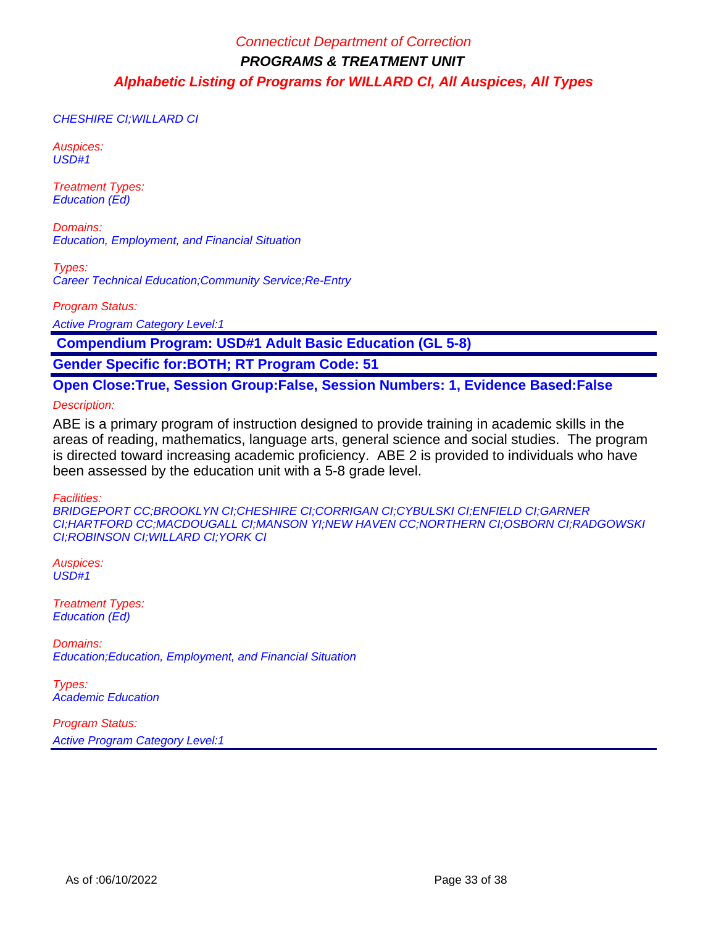CHESHIRE CI;WILLARD CI

Auspices: USD#1

Treatment Types: Education (Ed)

Domains: Education, Employment, and Financial Situation

Types: Career Technical Education;Community Service;Re-Entry

Program Status:

Active Program Category Level:1

 **Compendium Program: USD#1 Adult Basic Education (GL 5-8)**

**Gender Specific for:BOTH; RT Program Code: 51**

**Open Close:True, Session Group:False, Session Numbers: 1, Evidence Based:False**

Description:

ABE is a primary program of instruction designed to provide training in academic skills in the areas of reading, mathematics, language arts, general science and social studies. The program is directed toward increasing academic proficiency. ABE 2 is provided to individuals who have been assessed by the education unit with a 5-8 grade level.

Facilities:

BRIDGEPORT CC;BROOKLYN CI;CHESHIRE CI;CORRIGAN CI;CYBULSKI CI;ENFIELD CI;GARNER CI;HARTFORD CC;MACDOUGALL CI;MANSON YI;NEW HAVEN CC;NORTHERN CI;OSBORN CI;RADGOWSKI CI;ROBINSON CI;WILLARD CI;YORK CI

Auspices: USD#1

Treatment Types: Education (Ed)

Domains: Education;Education, Employment, and Financial Situation

Types: Academic Education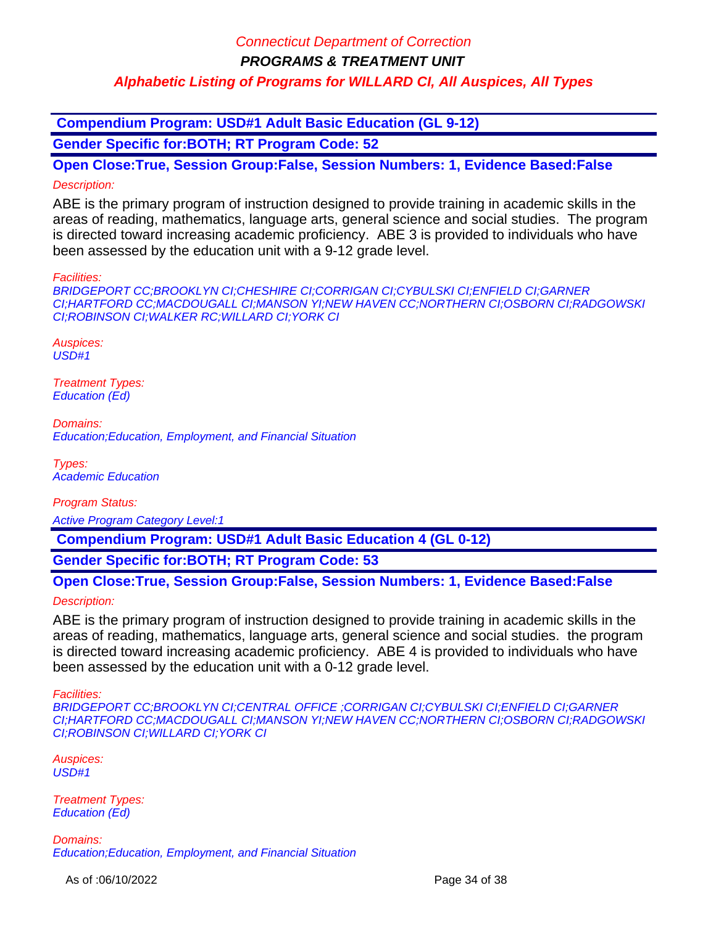**PROGRAMS & TREATMENT UNIT**

### **Alphabetic Listing of Programs for WILLARD CI, All Auspices, All Types**

 **Compendium Program: USD#1 Adult Basic Education (GL 9-12)**

**Gender Specific for:BOTH; RT Program Code: 52**

**Open Close:True, Session Group:False, Session Numbers: 1, Evidence Based:False** Description:

ABE is the primary program of instruction designed to provide training in academic skills in the areas of reading, mathematics, language arts, general science and social studies. The program is directed toward increasing academic proficiency. ABE 3 is provided to individuals who have been assessed by the education unit with a 9-12 grade level.

Facilities:

BRIDGEPORT CC;BROOKLYN CI;CHESHIRE CI;CORRIGAN CI;CYBULSKI CI;ENFIELD CI;GARNER CI;HARTFORD CC;MACDOUGALL CI;MANSON YI;NEW HAVEN CC;NORTHERN CI;OSBORN CI;RADGOWSKI CI;ROBINSON CI;WALKER RC;WILLARD CI;YORK CI

Auspices: USD#1

Treatment Types: Education (Ed)

Domains: Education;Education, Employment, and Financial Situation

Types: Academic Education

Program Status:

Active Program Category Level:1

 **Compendium Program: USD#1 Adult Basic Education 4 (GL 0-12)**

**Gender Specific for:BOTH; RT Program Code: 53**

**Open Close:True, Session Group:False, Session Numbers: 1, Evidence Based:False**

Description:

ABE is the primary program of instruction designed to provide training in academic skills in the areas of reading, mathematics, language arts, general science and social studies. the program is directed toward increasing academic proficiency. ABE 4 is provided to individuals who have been assessed by the education unit with a 0-12 grade level.

Facilities:

BRIDGEPORT CC;BROOKLYN CI;CENTRAL OFFICE ;CORRIGAN CI;CYBULSKI CI;ENFIELD CI;GARNER CI;HARTFORD CC;MACDOUGALL CI;MANSON YI;NEW HAVEN CC;NORTHERN CI;OSBORN CI;RADGOWSKI CI;ROBINSON CI;WILLARD CI;YORK CI

Auspices:  $USD#1$ 

Treatment Types: Education (Ed)

Domains: Education;Education, Employment, and Financial Situation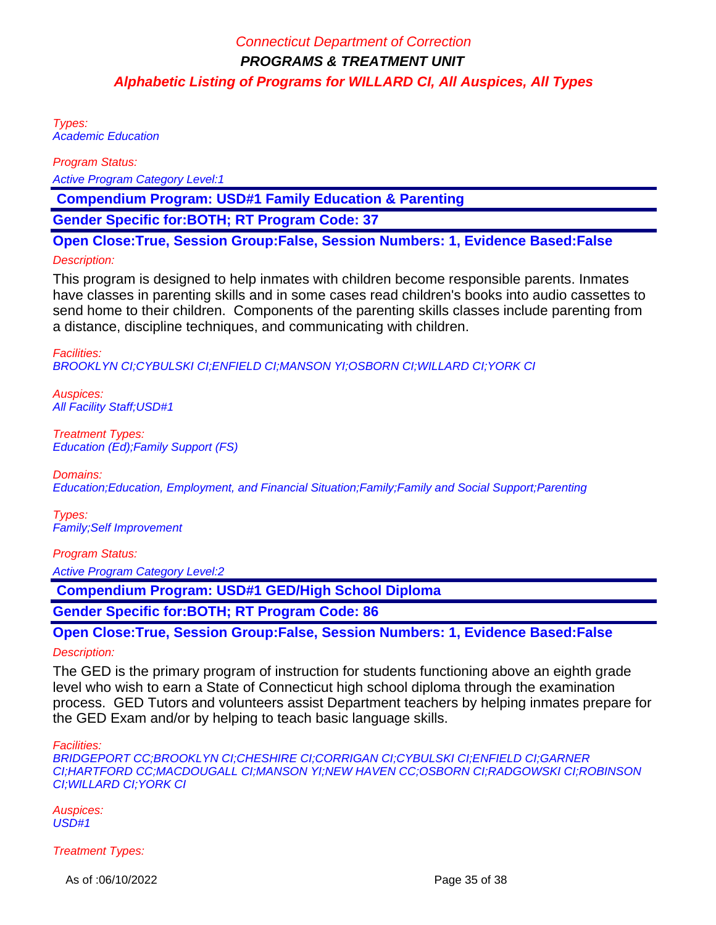Types: Academic Education

Program Status:

Active Program Category Level:1

 **Compendium Program: USD#1 Family Education & Parenting**

**Gender Specific for:BOTH; RT Program Code: 37**

**Open Close:True, Session Group:False, Session Numbers: 1, Evidence Based:False**

#### Description:

This program is designed to help inmates with children become responsible parents. Inmates have classes in parenting skills and in some cases read children's books into audio cassettes to send home to their children. Components of the parenting skills classes include parenting from a distance, discipline techniques, and communicating with children.

Facilities: BROOKLYN CI;CYBULSKI CI;ENFIELD CI;MANSON YI;OSBORN CI;WILLARD CI;YORK CI

Auspices: All Facility Staff;USD#1

Treatment Types: Education (Ed);Family Support (FS)

#### Domains:

Education;Education, Employment, and Financial Situation;Family;Family and Social Support;Parenting

Types: Family;Self Improvement

Program Status:

Active Program Category Level:2

 **Compendium Program: USD#1 GED/High School Diploma**

**Gender Specific for:BOTH; RT Program Code: 86**

**Open Close:True, Session Group:False, Session Numbers: 1, Evidence Based:False** Description:

The GED is the primary program of instruction for students functioning above an eighth grade level who wish to earn a State of Connecticut high school diploma through the examination process. GED Tutors and volunteers assist Department teachers by helping inmates prepare for the GED Exam and/or by helping to teach basic language skills.

Facilities:

BRIDGEPORT CC;BROOKLYN CI;CHESHIRE CI;CORRIGAN CI;CYBULSKI CI;ENFIELD CI;GARNER CI;HARTFORD CC;MACDOUGALL CI;MANSON YI;NEW HAVEN CC;OSBORN CI;RADGOWSKI CI;ROBINSON CI;WILLARD CI;YORK CI

Auspices: USD#1

Treatment Types:

As of :06/10/2022 **Page 35 of 38**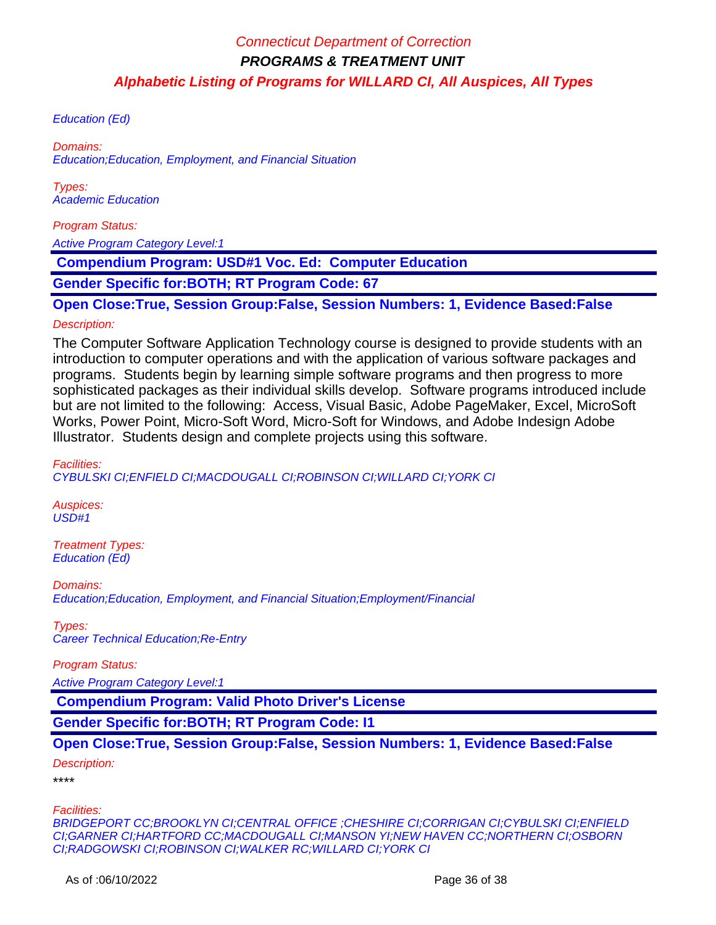Education (Ed)

Domains: Education;Education, Employment, and Financial Situation

Types: Academic Education

Program Status:

Active Program Category Level:1

 **Compendium Program: USD#1 Voc. Ed: Computer Education**

**Gender Specific for:BOTH; RT Program Code: 67**

**Open Close:True, Session Group:False, Session Numbers: 1, Evidence Based:False**

### Description:

The Computer Software Application Technology course is designed to provide students with an introduction to computer operations and with the application of various software packages and programs. Students begin by learning simple software programs and then progress to more sophisticated packages as their individual skills develop. Software programs introduced include but are not limited to the following: Access, Visual Basic, Adobe PageMaker, Excel, MicroSoft Works, Power Point, Micro-Soft Word, Micro-Soft for Windows, and Adobe Indesign Adobe Illustrator. Students design and complete projects using this software.

Facilities: CYBULSKI CI;ENFIELD CI;MACDOUGALL CI;ROBINSON CI;WILLARD CI;YORK CI

Auspices: USD#1

Treatment Types: Education (Ed)

Domains: Education;Education, Employment, and Financial Situation;Employment/Financial

Types: Career Technical Education;Re-Entry

Program Status:

Active Program Category Level:1

 **Compendium Program: Valid Photo Driver's License**

**Gender Specific for:BOTH; RT Program Code: I1**

**Open Close:True, Session Group:False, Session Numbers: 1, Evidence Based:False**

Description:

\*\*\*\*

Facilities:

BRIDGEPORT CC;BROOKLYN CI;CENTRAL OFFICE ;CHESHIRE CI;CORRIGAN CI;CYBULSKI CI;ENFIELD CI;GARNER CI;HARTFORD CC;MACDOUGALL CI;MANSON YI;NEW HAVEN CC;NORTHERN CI;OSBORN CI;RADGOWSKI CI;ROBINSON CI;WALKER RC;WILLARD CI;YORK CI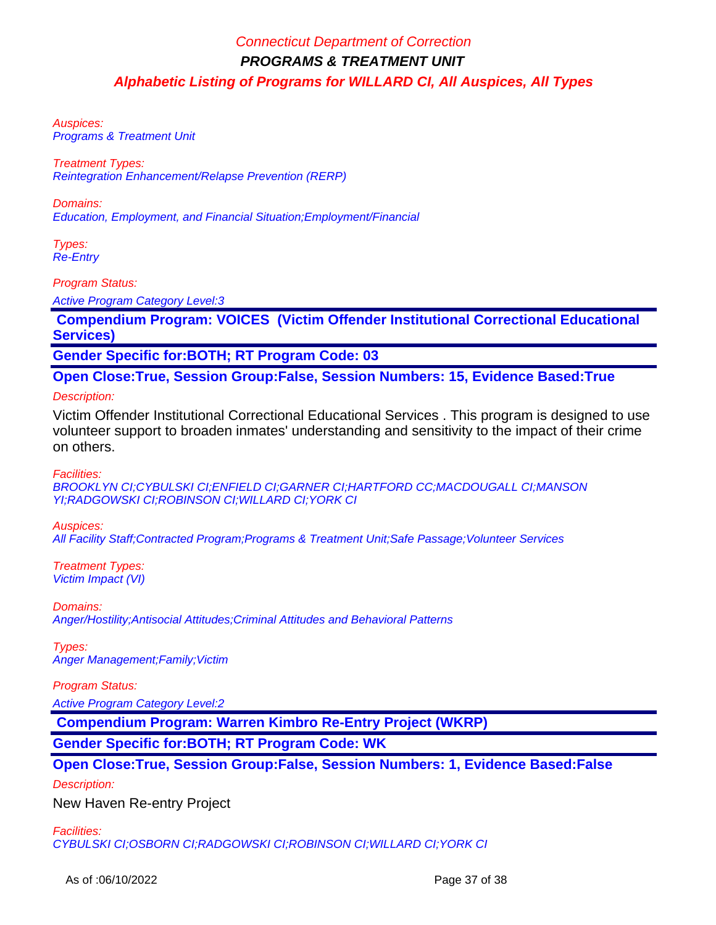Auspices: Programs & Treatment Unit

Treatment Types: Reintegration Enhancement/Relapse Prevention (RERP)

Domains: Education, Employment, and Financial Situation;Employment/Financial

Types: Re-Entry

Program Status:

Active Program Category Level:3

 **Compendium Program: VOICES (Victim Offender Institutional Correctional Educational Services)**

**Gender Specific for:BOTH; RT Program Code: 03**

**Open Close:True, Session Group:False, Session Numbers: 15, Evidence Based:True**

### Description:

Victim Offender Institutional Correctional Educational Services . This program is designed to use volunteer support to broaden inmates' understanding and sensitivity to the impact of their crime on others.

Facilities:

BROOKLYN CI;CYBULSKI CI;ENFIELD CI;GARNER CI;HARTFORD CC;MACDOUGALL CI;MANSON YI;RADGOWSKI CI;ROBINSON CI;WILLARD CI;YORK CI

Auspices:

All Facility Staff;Contracted Program;Programs & Treatment Unit;Safe Passage;Volunteer Services

Treatment Types: Victim Impact (VI)

Domains: Anger/Hostility;Antisocial Attitudes;Criminal Attitudes and Behavioral Patterns

Types: Anger Management;Family;Victim

Program Status:

Active Program Category Level:2

 **Compendium Program: Warren Kimbro Re-Entry Project (WKRP)**

**Gender Specific for:BOTH; RT Program Code: WK**

**Open Close:True, Session Group:False, Session Numbers: 1, Evidence Based:False**

Description:

New Haven Re-entry Project

Facilities:

CYBULSKI CI;OSBORN CI;RADGOWSKI CI;ROBINSON CI;WILLARD CI;YORK CI